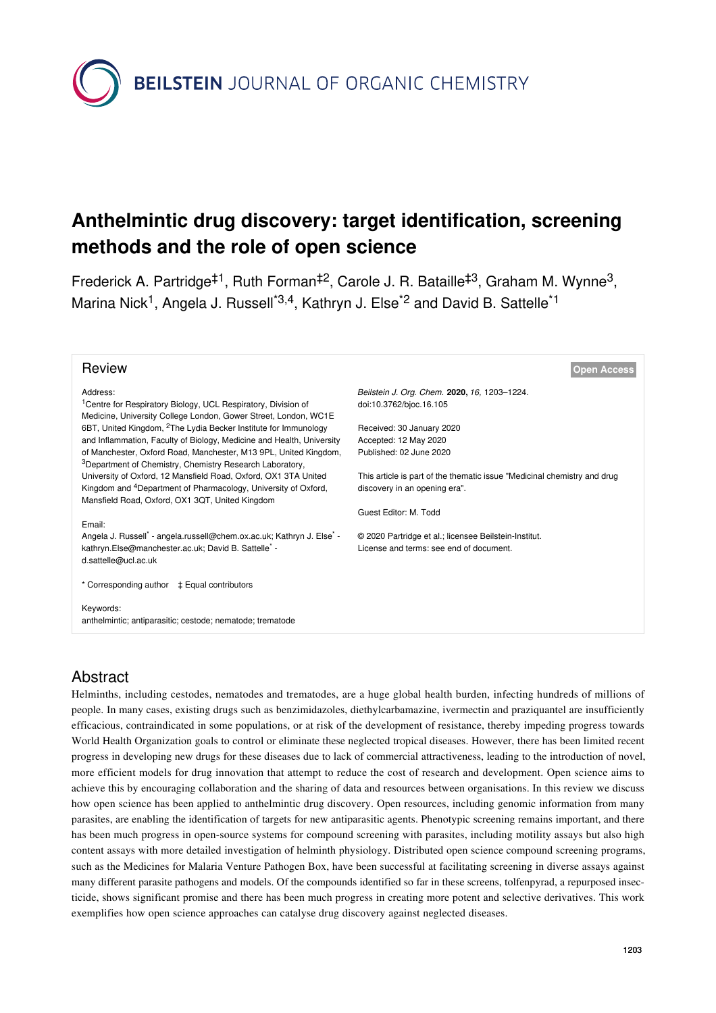

# **Anthelmintic drug discovery: target identification, screening methods and the role of open science**

Frederick A. Partridge<sup>‡1</sup>, Ruth Forman<sup>‡2</sup>, Carole J. R. Bataille<sup>‡3</sup>, Graham M. Wynne<sup>3</sup>, Marina Nick<sup>1</sup>, Angela J. Russell<sup>\*3,4</sup>, Kathryn J. Else<sup>\*2</sup> and David B. Sattelle<sup>\*1</sup>

#### Address:

<sup>1</sup>Centre for Respiratory Biology, UCL Respiratory, Division of Medicine, University College London, Gower Street, London, WC1E 6BT, United Kingdom, 2The Lydia Becker Institute for Immunology and Inflammation, Faculty of Biology, Medicine and Health, University of Manchester, Oxford Road, Manchester, M13 9PL, United Kingdom, <sup>3</sup>Department of Chemistry, Chemistry Research Laboratory, University of Oxford, 12 Mansfield Road, Oxford, OX1 3TA United Kingdom and 4Department of Pharmacology, University of Oxford, Mansfield Road, Oxford, OX1 3QT, United Kingdom

Email:

Angela J. Russell<sup>\*</sup> - [angela.russell@chem.ox.ac.uk](mailto:angela.russell@chem.ox.ac.uk); Kathryn J. Else<sup>\*</sup> [kathryn.Else@manchester.ac.uk](mailto:kathryn.Else@manchester.ac.uk); David B. Sattelle\* [d.sattelle@ucl.ac.uk](mailto:d.sattelle@ucl.ac.uk)

\* Corresponding author ‡ Equal contributors

Keywords:

anthelmintic; antiparasitic; cestode; nematode; trematode

# Abstract

Helminths, including cestodes, nematodes and trematodes, are a huge global health burden, infecting hundreds of millions of people. In many cases, existing drugs such as benzimidazoles, diethylcarbamazine, ivermectin and praziquantel are insufficiently efficacious, contraindicated in some populations, or at risk of the development of resistance, thereby impeding progress towards World Health Organization goals to control or eliminate these neglected tropical diseases. However, there has been limited recent progress in developing new drugs for these diseases due to lack of commercial attractiveness, leading to the introduction of novel, more efficient models for drug innovation that attempt to reduce the cost of research and development. Open science aims to achieve this by encouraging collaboration and the sharing of data and resources between organisations. In this review we discuss how open science has been applied to anthelmintic drug discovery. Open resources, including genomic information from many parasites, are enabling the identification of targets for new antiparasitic agents. Phenotypic screening remains important, and there has been much progress in open-source systems for compound screening with parasites, including motility assays but also high content assays with more detailed investigation of helminth physiology. Distributed open science compound screening programs, such as the Medicines for Malaria Venture Pathogen Box, have been successful at facilitating screening in diverse assays against many different parasite pathogens and models. Of the compounds identified so far in these screens, tolfenpyrad, a repurposed insecticide, shows significant promise and there has been much progress in creating more potent and selective derivatives. This work exemplifies how open science approaches can catalyse drug discovery against neglected diseases.

**Review Contract Contract Contract Contract Contract Contract Contract Contract Contract Contract Contract Contract Contract Contract Contract Contract Contract Contract Contract Contract Contract Contract Contract Contrac** 

*Beilstein J. Org. Chem.* **2020,** *16,* 1203–1224. [doi:10.3762/bjoc.16.105](https://doi.org/10.3762%2Fbjoc.16.105)

Received: 30 January 2020 Accepted: 12 May 2020 Published: 02 June 2020

This article is part of the thematic issue "Medicinal chemistry and drug discovery in an opening era".

Guest Editor: M. Todd

© 2020 Partridge et al.; licensee Beilstein-Institut. License and terms: see end of document.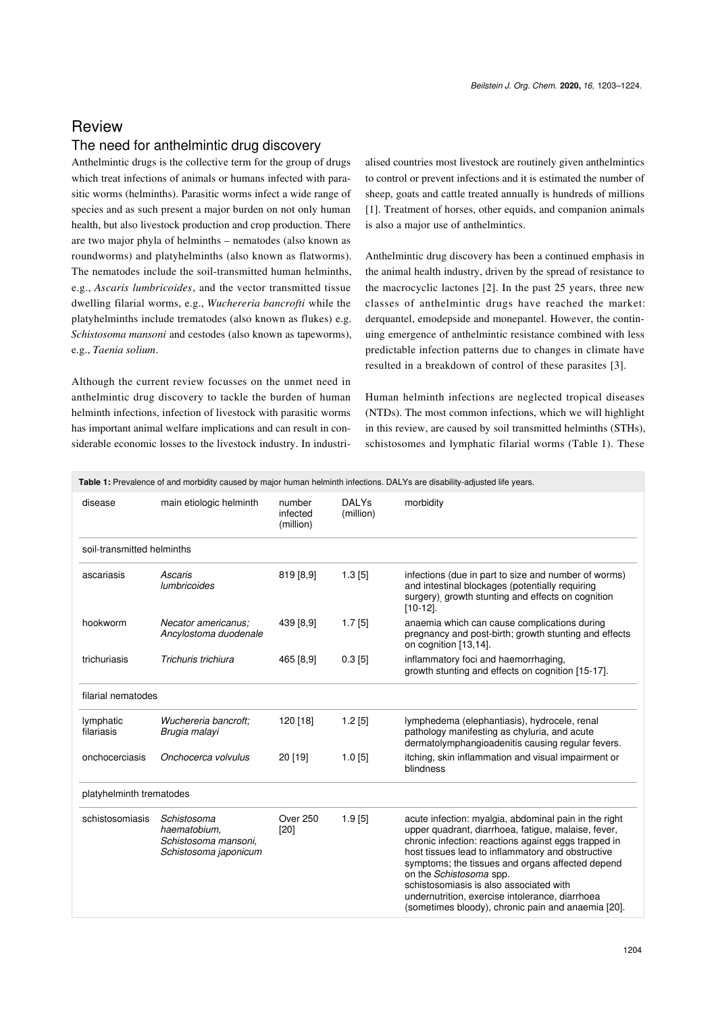# **Review**

#### The need for anthelmintic drug discovery

Anthelmintic drugs is the collective term for the group of drugs which treat infections of animals or humans infected with parasitic worms (helminths). Parasitic worms infect a wide range of species and as such present a major burden on not only human health, but also livestock production and crop production. There are two major phyla of helminths – nematodes (also known as roundworms) and platyhelminths (also known as flatworms). The nematodes include the soil-transmitted human helminths, e.g., *Ascaris lumbricoides*, and the vector transmitted tissue dwelling filarial worms, e.g., *Wuchereria bancrofti* while the platyhelminths include trematodes (also known as flukes) e.g. *Schistosoma mansoni* and cestodes (also known as tapeworms), e.g., *Taenia solium*.

Although the current review focusses on the unmet need in anthelmintic drug discovery to tackle the burden of human helminth infections, infection of livestock with parasitic worms has important animal welfare implications and can result in considerable economic losses to the livestock industry. In industrialised countries most livestock are routinely given anthelmintics to control or prevent infections and it is estimated the number of sheep, goats and cattle treated annually is hundreds of millions [\[1\]](#page-15-3). Treatment of horses, other equids, and companion animals is also a major use of anthelmintics.

Anthelmintic drug discovery has been a continued emphasis in the animal health industry, driven by the spread of resistance to the macrocyclic lactones [\[2\].](#page-15-4) In the past 25 years, three new classes of anthelmintic drugs have reached the market: derquantel, emodepside and monepantel. However, the continuing emergence of anthelmintic resistance combined with less predictable infection patterns due to changes in climate have resulted in a breakdown of control of these parasites [\[3\]](#page-15-5).

Human helminth infections are neglected tropical diseases (NTDs). The most common infections, which we will highlight in this review, are caused by soil transmitted helminths (STHs), schistosomes and lymphatic filarial worms ([Table 1](#page-1-0)). These

<span id="page-1-0"></span>

| Table 1: Prevalence of and morbidity caused by major human helminth infections. DALYs are disability-adjusted life years. |                                                                              |                                 |                           |                                                                                                                                                                                                                                                                                                                                                                                                                                                              |  |  |  |
|---------------------------------------------------------------------------------------------------------------------------|------------------------------------------------------------------------------|---------------------------------|---------------------------|--------------------------------------------------------------------------------------------------------------------------------------------------------------------------------------------------------------------------------------------------------------------------------------------------------------------------------------------------------------------------------------------------------------------------------------------------------------|--|--|--|
| disease                                                                                                                   | main etiologic helminth                                                      | number<br>infected<br>(million) | <b>DALYs</b><br>(million) | morbidity                                                                                                                                                                                                                                                                                                                                                                                                                                                    |  |  |  |
| soil-transmitted helminths                                                                                                |                                                                              |                                 |                           |                                                                                                                                                                                                                                                                                                                                                                                                                                                              |  |  |  |
| ascariasis                                                                                                                | Ascaris<br><i>lumbricoides</i>                                               | 819 [8,9]                       | $1.3$ [5]                 | infections (due in part to size and number of worms)<br>and intestinal blockages (potentially requiring<br>surgery) growth stunting and effects on cognition<br>$[10-12]$ .                                                                                                                                                                                                                                                                                  |  |  |  |
| hookworm                                                                                                                  | Necator americanus:<br>Ancylostoma duodenale                                 | 439 [8,9]                       | 1.7[5]                    | anaemia which can cause complications during<br>pregnancy and post-birth; growth stunting and effects<br>on cognition [13,14].                                                                                                                                                                                                                                                                                                                               |  |  |  |
| trichuriasis                                                                                                              | Trichuris trichiura                                                          | 465 [8,9]                       | $0.3$ [5]                 | inflammatory foci and haemorrhaging,<br>growth stunting and effects on cognition [15-17].                                                                                                                                                                                                                                                                                                                                                                    |  |  |  |
| filarial nematodes                                                                                                        |                                                                              |                                 |                           |                                                                                                                                                                                                                                                                                                                                                                                                                                                              |  |  |  |
| lymphatic<br>filariasis                                                                                                   | Wuchereria bancroft:<br>Brugia malayi                                        | 120 [18]                        | $1.2$ [5]                 | lymphedema (elephantiasis), hydrocele, renal<br>pathology manifesting as chyluria, and acute<br>dermatolymphangioadenitis causing regular fevers.                                                                                                                                                                                                                                                                                                            |  |  |  |
| onchocerciasis                                                                                                            | Onchocerca volvulus                                                          | 20 [19]                         | $1.0$ [5]                 | itching, skin inflammation and visual impairment or<br>blindness                                                                                                                                                                                                                                                                                                                                                                                             |  |  |  |
| platyhelminth trematodes                                                                                                  |                                                                              |                                 |                           |                                                                                                                                                                                                                                                                                                                                                                                                                                                              |  |  |  |
| schistosomiasis                                                                                                           | Schistosoma<br>haematobium.<br>Schistosoma mansoni.<br>Schistosoma japonicum | Over 250<br>[20]                | $1.9$ [5]                 | acute infection: myalgia, abdominal pain in the right<br>upper quadrant, diarrhoea, fatigue, malaise, fever,<br>chronic infection: reactions against eggs trapped in<br>host tissues lead to inflammatory and obstructive<br>symptoms; the tissues and organs affected depend<br>on the Schistosoma spp.<br>schistosomiasis is also associated with<br>undernutrition, exercise intolerance, diarrhoea<br>(sometimes bloody), chronic pain and anaemia [20]. |  |  |  |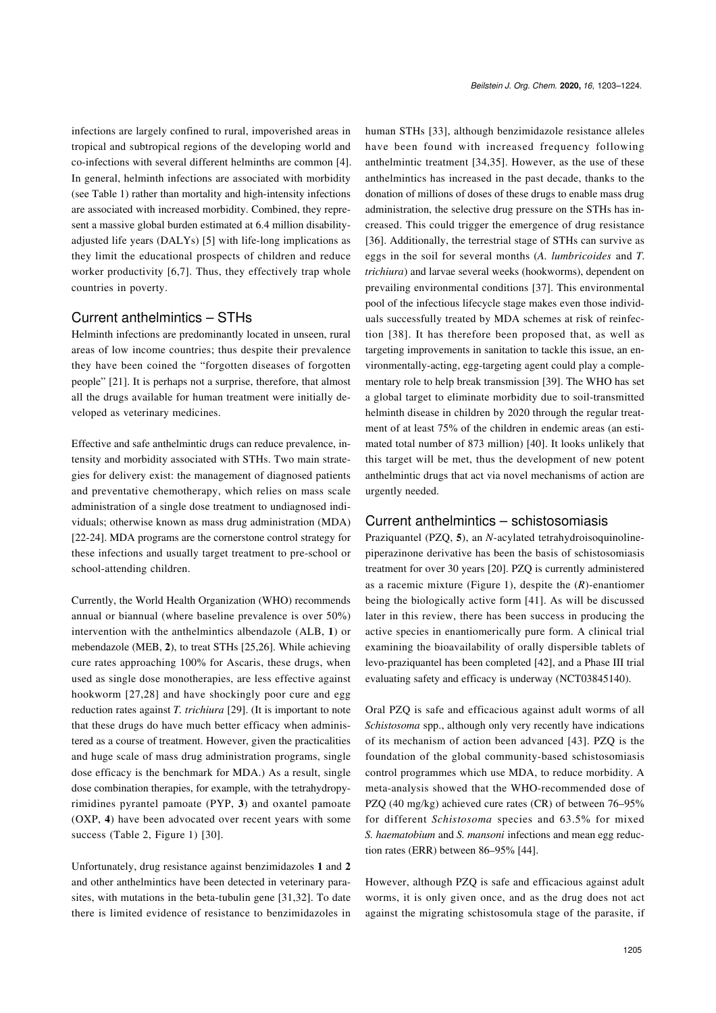infections are largely confined to rural, impoverished areas in tropical and subtropical regions of the developing world and co-infections with several different helminths are common [\[4\]](#page-15-6). In general, helminth infections are associated with morbidity (see [Table 1](#page-1-0)) rather than mortality and high-intensity infections are associated with increased morbidity. Combined, they represent a massive global burden estimated at 6.4 million disabilityadjusted life years (DALYs) [\[5\]](#page-15-1) with life-long implications as they limit the educational prospects of children and reduce worker productivity [\[6,7\]](#page-15-7). Thus, they effectively trap whole countries in poverty.

#### Current anthelmintics – STHs

Helminth infections are predominantly located in unseen, rural areas of low income countries; thus despite their prevalence they have been coined the "forgotten diseases of forgotten people" [\[21\].](#page-16-5) It is perhaps not a surprise, therefore, that almost all the drugs available for human treatment were initially developed as veterinary medicines.

Effective and safe anthelmintic drugs can reduce prevalence, intensity and morbidity associated with STHs. Two main strategies for delivery exist: the management of diagnosed patients and preventative chemotherapy, which relies on mass scale administration of a single dose treatment to undiagnosed individuals; otherwise known as mass drug administration (MDA) [\[22-24\].](#page-16-6) MDA programs are the cornerstone control strategy for these infections and usually target treatment to pre-school or school-attending children.

Currently, the World Health Organization (WHO) recommends annual or biannual (where baseline prevalence is over 50%) intervention with the anthelmintics albendazole (ALB, **1**) or mebendazole (MEB, **2**), to treat STHs [\[25,26\].](#page-16-7) While achieving cure rates approaching 100% for Ascaris, these drugs, when used as single dose monotherapies, are less effective against hookworm [\[27,28\]](#page-17-0) and have shockingly poor cure and egg reduction rates against *T. trichiura* [\[29\]](#page-17-1). (It is important to note that these drugs do have much better efficacy when administered as a course of treatment. However, given the practicalities and huge scale of mass drug administration programs, single dose efficacy is the benchmark for MDA.) As a result, single dose combination therapies, for example, with the tetrahydropyrimidines pyrantel pamoate (PYP, **3**) and oxantel pamoate (OXP, **4**) have been advocated over recent years with some success [\(Table 2](#page-3-0), [Figure 1](#page-3-1)) [\[30\]](#page-17-2).

Unfortunately, drug resistance against benzimidazoles **1** and **2** and other anthelmintics have been detected in veterinary parasites, with mutations in the beta-tubulin gene [\[31,32\]](#page-17-3). To date there is limited evidence of resistance to benzimidazoles in

human STHs [\[33\],](#page-17-4) although benzimidazole resistance alleles have been found with increased frequency following anthelmintic treatment [\[34,35\].](#page-17-5) However, as the use of these anthelmintics has increased in the past decade, thanks to the donation of millions of doses of these drugs to enable mass drug administration, the selective drug pressure on the STHs has increased. This could trigger the emergence of drug resistance [\[36\].](#page-17-6) Additionally, the terrestrial stage of STHs can survive as eggs in the soil for several months (*A. lumbricoides* and *T. trichiura*) and larvae several weeks (hookworms), dependent on prevailing environmental conditions [\[37\]](#page-17-7). This environmental pool of the infectious lifecycle stage makes even those individuals successfully treated by MDA schemes at risk of reinfection [\[38\]](#page-17-8). It has therefore been proposed that, as well as targeting improvements in sanitation to tackle this issue, an environmentally-acting, egg-targeting agent could play a complementary role to help break transmission [\[39\].](#page-17-9) The WHO has set a global target to eliminate morbidity due to soil-transmitted helminth disease in children by 2020 through the regular treatment of at least 75% of the children in endemic areas (an estimated total number of 873 million) [\[40\].](#page-17-10) It looks unlikely that this target will be met, thus the development of new potent anthelmintic drugs that act via novel mechanisms of action are urgently needed.

### Current anthelmintics – schistosomiasis

Praziquantel (PZQ, **5**), an *N*-acylated tetrahydroisoquinolinepiperazinone derivative has been the basis of schistosomiasis treatment for over 30 years [\[20\]](#page-16-4). PZQ is currently administered as a racemic mixture [\(Figure 1](#page-3-1)), despite the (*R*)-enantiomer being the biologically active form [\[41\].](#page-17-11) As will be discussed later in this review, there has been success in producing the active species in enantiomerically pure form. A clinical trial examining the bioavailability of orally dispersible tablets of levo-praziquantel has been completed [\[42\]](#page-17-12), and a Phase III trial evaluating safety and efficacy is underway (NCT03845140).

Oral PZQ is safe and efficacious against adult worms of all *Schistosoma* spp., although only very recently have indications of its mechanism of action been advanced [\[43\].](#page-17-13) PZQ is the foundation of the global community-based schistosomiasis control programmes which use MDA, to reduce morbidity. A meta-analysis showed that the WHO-recommended dose of PZQ (40 mg/kg) achieved cure rates (CR) of between 76–95% for different *Schistosoma* species and 63.5% for mixed *S. haematobium* and *S. mansoni* infections and mean egg reduction rates (ERR) between 86–95% [\[44\]](#page-17-14).

However, although PZQ is safe and efficacious against adult worms, it is only given once, and as the drug does not act against the migrating schistosomula stage of the parasite, if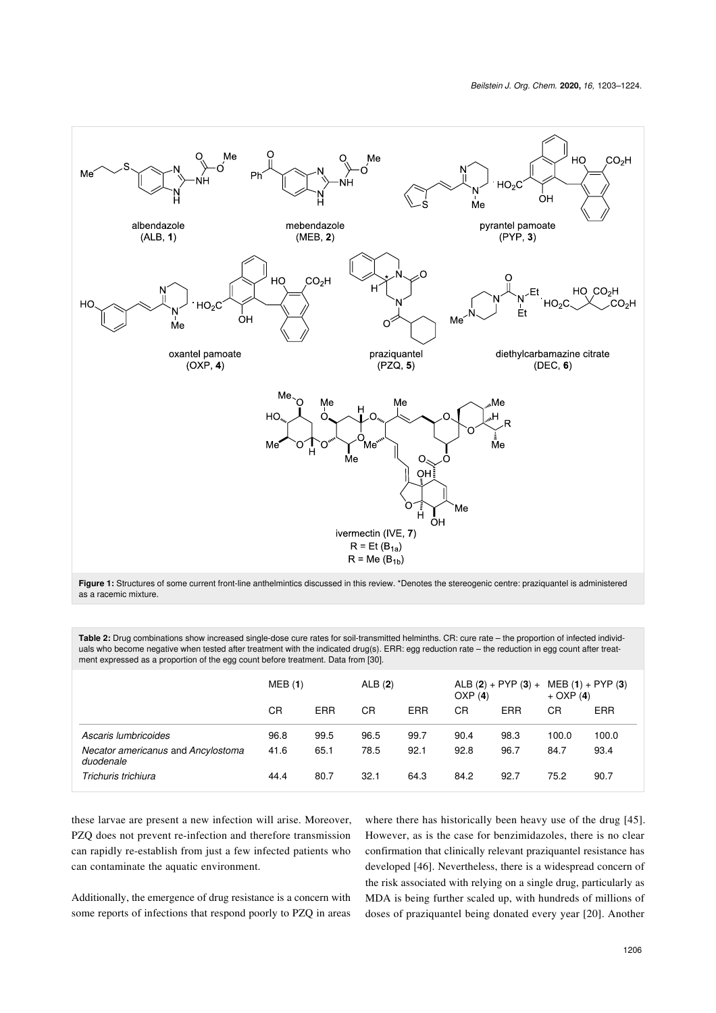<span id="page-3-1"></span>

**Figure 1:** Structures of some current front-line anthelmintics discussed in this review. \*Denotes the stereogenic centre: praziquantel is administered as a racemic mixture.

<span id="page-3-0"></span>Table 2: Drug combinations show increased single-dose cure rates for soil-transmitted helminths. CR: cure rate – the proportion of infected individuals who become negative when tested after treatment with the indicated drug(s). ERR: egg reduction rate – the reduction in egg count after treatment expressed as a proportion of the egg count before treatment. Data from [\[30\]](#page-17-2).

|                                                 | MEB(1) |      | ALB(2) |            | $ALB(2) + PYP(3) +$<br>OXP(4) |            | $MEB(1) + PYP(3)$<br>$+$ OXP $(4)$ |       |
|-------------------------------------------------|--------|------|--------|------------|-------------------------------|------------|------------------------------------|-------|
|                                                 | СR     | ERR  | СR     | <b>ERR</b> | СR                            | <b>ERR</b> | CR                                 | ERR   |
| Ascaris lumbricoides                            | 96.8   | 99.5 | 96.5   | 99.7       | 90.4                          | 98.3       | 100.0                              | 100.0 |
| Necator americanus and Ancylostoma<br>duodenale | 41.6   | 65.1 | 78.5   | 92.1       | 92.8                          | 96.7       | 84.7                               | 93.4  |
| Trichuris trichiura                             | 44.4   | 80.7 | 32.1   | 64.3       | 84.2                          | 92.7       | 75.2                               | 90.7  |

these larvae are present a new infection will arise. Moreover, PZQ does not prevent re-infection and therefore transmission can rapidly re-establish from just a few infected patients who can contaminate the aquatic environment.

Additionally, the emergence of drug resistance is a concern with some reports of infections that respond poorly to PZQ in areas

where there has historically been heavy use of the drug [\[45\]](#page-17-15). However, as is the case for benzimidazoles, there is no clear confirmation that clinically relevant praziquantel resistance has developed [\[46\]](#page-17-16). Nevertheless, there is a widespread concern of the risk associated with relying on a single drug, particularly as MDA is being further scaled up, with hundreds of millions of doses of praziquantel being donated every year [\[20\]](#page-16-4). Another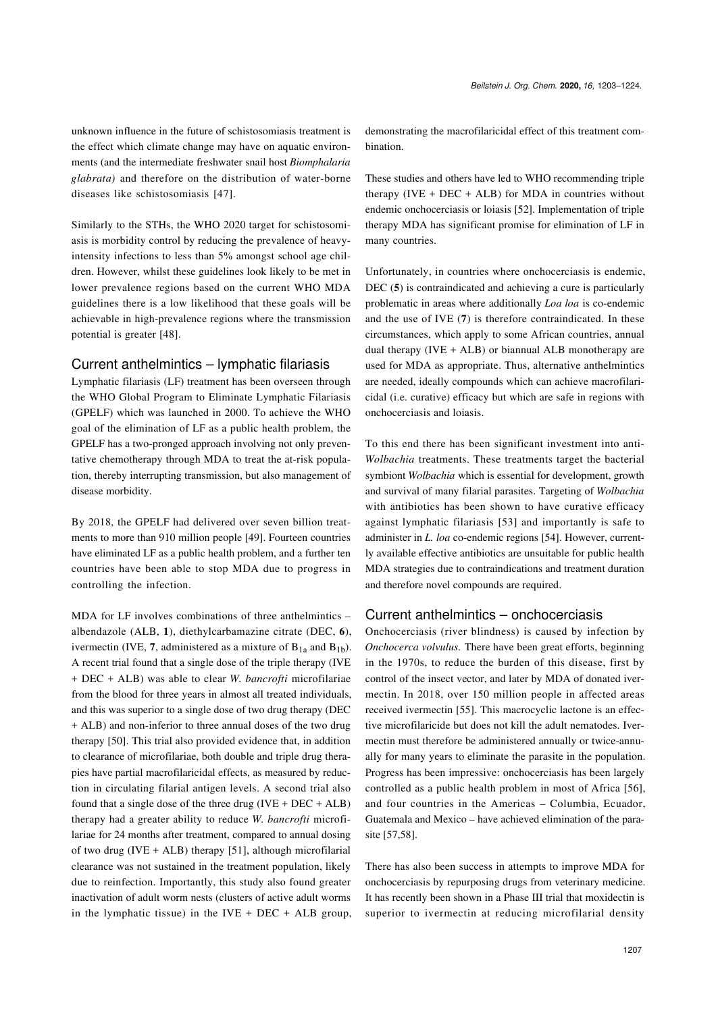unknown influence in the future of schistosomiasis treatment is the effect which climate change may have on aquatic environments (and the intermediate freshwater snail host *Biomphalaria glabrata)* and therefore on the distribution of water-borne diseases like schistosomiasis [\[47\]](#page-17-17).

Similarly to the STHs, the WHO 2020 target for schistosomiasis is morbidity control by reducing the prevalence of heavyintensity infections to less than 5% amongst school age children. However, whilst these guidelines look likely to be met in lower prevalence regions based on the current WHO MDA guidelines there is a low likelihood that these goals will be achievable in high-prevalence regions where the transmission potential is greater [\[48\]](#page-17-18).

# Current anthelmintics – lymphatic filariasis

Lymphatic filariasis (LF) treatment has been overseen through the WHO Global Program to Eliminate Lymphatic Filariasis (GPELF) which was launched in 2000. To achieve the WHO goal of the elimination of LF as a public health problem, the GPELF has a two-pronged approach involving not only preventative chemotherapy through MDA to treat the at-risk population, thereby interrupting transmission, but also management of disease morbidity.

By 2018, the GPELF had delivered over seven billion treatments to more than 910 million people [\[49\].](#page-17-19) Fourteen countries have eliminated LF as a public health problem, and a further ten countries have been able to stop MDA due to progress in controlling the infection.

MDA for LF involves combinations of three anthelmintics – albendazole (ALB, **1**), diethylcarbamazine citrate (DEC, **6**), ivermectin (IVE, 7, administered as a mixture of  $B_{1a}$  and  $B_{1b}$ ). A recent trial found that a single dose of the triple therapy (IVE + DEC + ALB) was able to clear *W. bancrofti* microfilariae from the blood for three years in almost all treated individuals, and this was superior to a single dose of two drug therapy (DEC + ALB) and non-inferior to three annual doses of the two drug therapy [\[50\].](#page-17-20) This trial also provided evidence that, in addition to clearance of microfilariae, both double and triple drug therapies have partial macrofilaricidal effects, as measured by reduction in circulating filarial antigen levels. A second trial also found that a single dose of the three drug  $(IVE + DEC + ALB)$ therapy had a greater ability to reduce *W. bancrofti* microfilariae for 24 months after treatment, compared to annual dosing of two drug (IVE + ALB) therapy [\[51\],](#page-17-21) although microfilarial clearance was not sustained in the treatment population, likely due to reinfection. Importantly, this study also found greater inactivation of adult worm nests (clusters of active adult worms in the lymphatic tissue) in the IVE +  $DEC + ALB$  group, demonstrating the macrofilaricidal effect of this treatment combination.

These studies and others have led to WHO recommending triple therapy  $(IVE + DEC + ALB)$  for MDA in countries without endemic onchocerciasis or loiasis [\[52\]](#page-17-22). Implementation of triple therapy MDA has significant promise for elimination of LF in many countries.

Unfortunately, in countries where onchocerciasis is endemic, DEC (**5**) is contraindicated and achieving a cure is particularly problematic in areas where additionally *Loa loa* is co-endemic and the use of IVE (**7**) is therefore contraindicated. In these circumstances, which apply to some African countries, annual dual therapy  $(IVE + ALB)$  or biannual ALB monotherapy are used for MDA as appropriate. Thus, alternative anthelmintics are needed, ideally compounds which can achieve macrofilaricidal (i.e. curative) efficacy but which are safe in regions with onchocerciasis and loiasis.

To this end there has been significant investment into anti-*Wolbachia* treatments. These treatments target the bacterial symbiont *Wolbachia* which is essential for development, growth and survival of many filarial parasites. Targeting of *Wolbachia* with antibiotics has been shown to have curative efficacy against lymphatic filariasis [\[53\]](#page-17-23) and importantly is safe to administer in *L. loa* co-endemic regions [\[54\].](#page-17-24) However, currently available effective antibiotics are unsuitable for public health MDA strategies due to contraindications and treatment duration and therefore novel compounds are required.

#### Current anthelmintics – onchocerciasis

Onchocerciasis (river blindness) is caused by infection by *Onchocerca volvulus.* There have been great efforts, beginning in the 1970s, to reduce the burden of this disease, first by control of the insect vector, and later by MDA of donated ivermectin. In 2018, over 150 million people in affected areas received ivermectin [\[55\]](#page-17-25). This macrocyclic lactone is an effective microfilaricide but does not kill the adult nematodes. Ivermectin must therefore be administered annually or twice-annually for many years to eliminate the parasite in the population. Progress has been impressive: onchocerciasis has been largely controlled as a public health problem in most of Africa [\[56\]](#page-17-26), and four countries in the Americas – Columbia, Ecuador, Guatemala and Mexico – have achieved elimination of the parasite [\[57,58\].](#page-17-27)

There has also been success in attempts to improve MDA for onchocerciasis by repurposing drugs from veterinary medicine. It has recently been shown in a Phase III trial that moxidectin is superior to ivermectin at reducing microfilarial density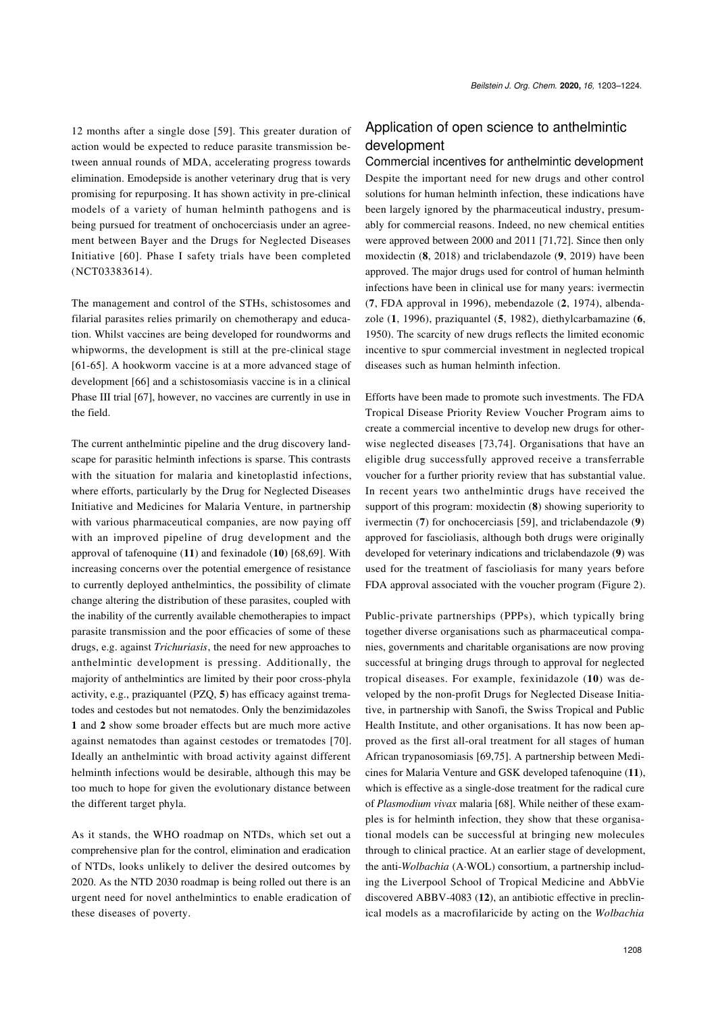12 months after a single dose [\[59\]](#page-17-28). This greater duration of action would be expected to reduce parasite transmission between annual rounds of MDA, accelerating progress towards elimination. Emodepside is another veterinary drug that is very promising for repurposing. It has shown activity in pre-clinical models of a variety of human helminth pathogens and is being pursued for treatment of onchocerciasis under an agreement between Bayer and the Drugs for Neglected Diseases Initiative [\[60\]](#page-17-29). Phase I safety trials have been completed (NCT03383614).

The management and control of the STHs, schistosomes and filarial parasites relies primarily on chemotherapy and education. Whilst vaccines are being developed for roundworms and whipworms, the development is still at the pre-clinical stage [\[61-65\]](#page-17-30). A hookworm vaccine is at a more advanced stage of development [\[66\]](#page-18-0) and a schistosomiasis vaccine is in a clinical Phase III trial [\[67\],](#page-18-1) however, no vaccines are currently in use in the field.

The current anthelmintic pipeline and the drug discovery landscape for parasitic helminth infections is sparse. This contrasts with the situation for malaria and kinetoplastid infections, where efforts, particularly by the Drug for Neglected Diseases Initiative and Medicines for Malaria Venture, in partnership with various pharmaceutical companies, are now paying off with an improved pipeline of drug development and the approval of tafenoquine (**11**) and fexinadole (**10**) [\[68,69\]](#page-18-2). With increasing concerns over the potential emergence of resistance to currently deployed anthelmintics, the possibility of climate change altering the distribution of these parasites, coupled with the inability of the currently available chemotherapies to impact parasite transmission and the poor efficacies of some of these drugs, e.g. against *Trichuriasis*, the need for new approaches to anthelmintic development is pressing. Additionally, the majority of anthelmintics are limited by their poor cross-phyla activity, e.g., praziquantel (PZQ, **5**) has efficacy against trematodes and cestodes but not nematodes. Only the benzimidazoles **1** and **2** show some broader effects but are much more active against nematodes than against cestodes or trematodes [\[70\]](#page-18-3). Ideally an anthelmintic with broad activity against different helminth infections would be desirable, although this may be too much to hope for given the evolutionary distance between the different target phyla.

As it stands, the WHO roadmap on NTDs, which set out a comprehensive plan for the control, elimination and eradication of NTDs, looks unlikely to deliver the desired outcomes by 2020. As the NTD 2030 roadmap is being rolled out there is an urgent need for novel anthelmintics to enable eradication of these diseases of poverty.

# Application of open science to anthelmintic development

Commercial incentives for anthelmintic development Despite the important need for new drugs and other control solutions for human helminth infection, these indications have been largely ignored by the pharmaceutical industry, presumably for commercial reasons. Indeed, no new chemical entities were approved between 2000 and 2011 [\[71,72\]](#page-18-4). Since then only moxidectin (**8**, 2018) and triclabendazole (**9**, 2019) have been approved. The major drugs used for control of human helminth infections have been in clinical use for many years: ivermectin (**7**, FDA approval in 1996), mebendazole (**2**, 1974), albendazole (**1**, 1996), praziquantel (**5**, 1982), diethylcarbamazine (**6**, 1950). The scarcity of new drugs reflects the limited economic incentive to spur commercial investment in neglected tropical diseases such as human helminth infection.

Efforts have been made to promote such investments. The FDA Tropical Disease Priority Review Voucher Program aims to create a commercial incentive to develop new drugs for otherwise neglected diseases [\[73,74\]](#page-18-5). Organisations that have an eligible drug successfully approved receive a transferrable voucher for a further priority review that has substantial value. In recent years two anthelmintic drugs have received the support of this program: moxidectin (**8**) showing superiority to ivermectin (**7**) for onchocerciasis [\[59\],](#page-17-28) and triclabendazole (**9**) approved for fascioliasis, although both drugs were originally developed for veterinary indications and triclabendazole (**9**) was used for the treatment of fascioliasis for many years before FDA approval associated with the voucher program [\(Figure 2](#page-6-0)).

Public-private partnerships (PPPs), which typically bring together diverse organisations such as pharmaceutical companies, governments and charitable organisations are now proving successful at bringing drugs through to approval for neglected tropical diseases. For example, fexinidazole (**10**) was developed by the non-profit Drugs for Neglected Disease Initiative, in partnership with Sanofi, the Swiss Tropical and Public Health Institute, and other organisations. It has now been approved as the first all-oral treatment for all stages of human African trypanosomiasis [\[69,75\].](#page-18-6) A partnership between Medicines for Malaria Venture and GSK developed tafenoquine (**11**), which is effective as a single-dose treatment for the radical cure of *Plasmodium vivax* malaria [\[68\]](#page-18-2). While neither of these examples is for helminth infection, they show that these organisational models can be successful at bringing new molecules through to clinical practice. At an earlier stage of development, the anti-*Wolbachia* (A·WOL) consortium, a partnership including the Liverpool School of Tropical Medicine and AbbVie discovered ABBV-4083 (**12**), an antibiotic effective in preclinical models as a macrofilaricide by acting on the *Wolbachia*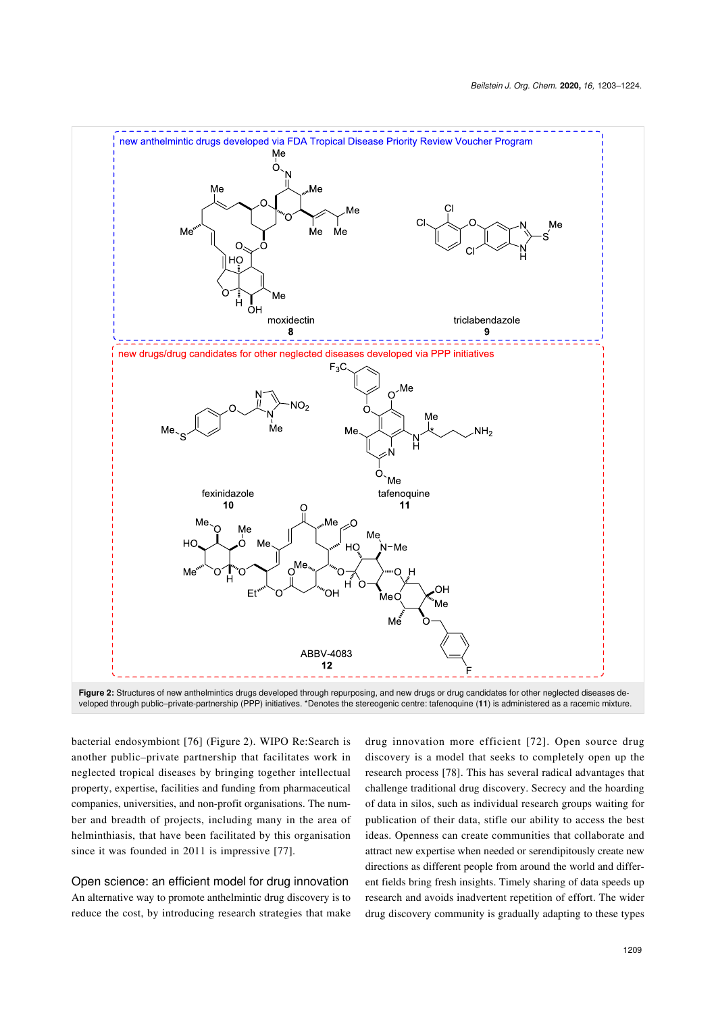<span id="page-6-0"></span>

veloped through public–private-partnership (PPP) initiatives. \*Denotes the stereogenic centre: tafenoquine (**11**) is administered as a racemic mixture.

bacterial endosymbiont [\[76\]](#page-18-7) ([Figure 2](#page-6-0)). WIPO Re:Search is another public–private partnership that facilitates work in neglected tropical diseases by bringing together intellectual property, expertise, facilities and funding from pharmaceutical companies, universities, and non-profit organisations. The number and breadth of projects, including many in the area of helminthiasis, that have been facilitated by this organisation since it was founded in 2011 is impressive [\[77\]](#page-18-8).

Open science: an efficient model for drug innovation An alternative way to promote anthelmintic drug discovery is to reduce the cost, by introducing research strategies that make

drug innovation more efficient [\[72\]](#page-18-9). Open source drug discovery is a model that seeks to completely open up the research process [\[78\].](#page-18-10) This has several radical advantages that challenge traditional drug discovery. Secrecy and the hoarding of data in silos, such as individual research groups waiting for publication of their data, stifle our ability to access the best ideas. Openness can create communities that collaborate and attract new expertise when needed or serendipitously create new directions as different people from around the world and different fields bring fresh insights. Timely sharing of data speeds up research and avoids inadvertent repetition of effort. The wider drug discovery community is gradually adapting to these types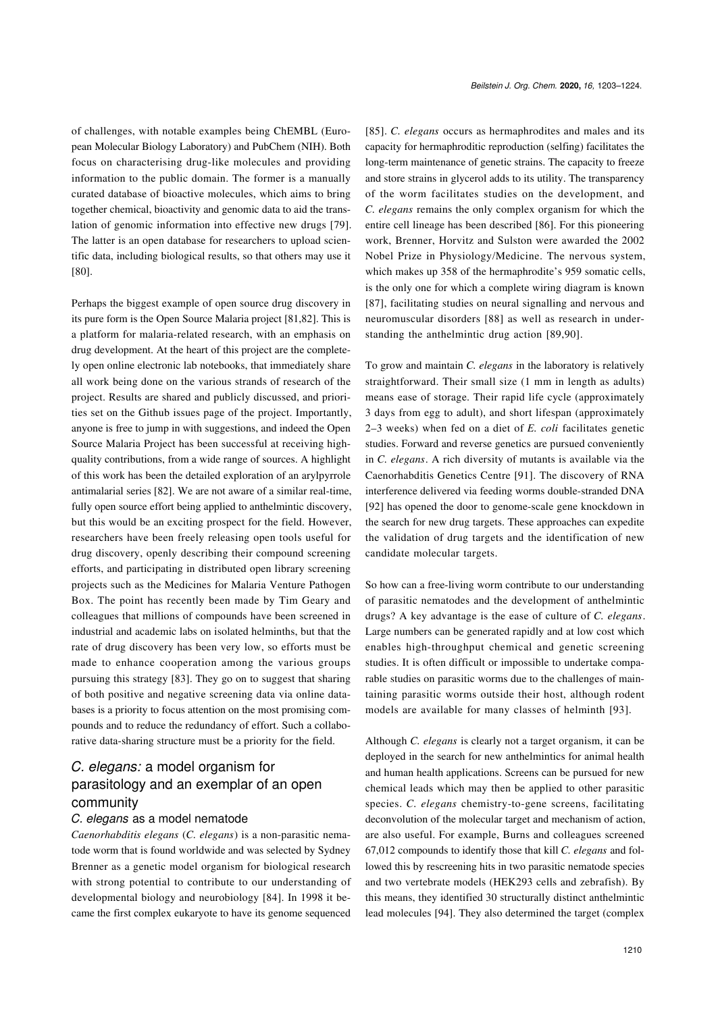of challenges, with notable examples being ChEMBL (European Molecular Biology Laboratory) and PubChem (NIH). Both focus on characterising drug-like molecules and providing information to the public domain. The former is a manually curated database of bioactive molecules, which aims to bring together chemical, bioactivity and genomic data to aid the translation of genomic information into effective new drugs [\[79\]](#page-18-11). The latter is an open database for researchers to upload scientific data, including biological results, so that others may use it [\[80\].](#page-18-12)

Perhaps the biggest example of open source drug discovery in its pure form is the Open Source Malaria project [\[81,82\].](#page-18-13) This is a platform for malaria-related research, with an emphasis on drug development. At the heart of this project are the completely open online electronic lab notebooks, that immediately share all work being done on the various strands of research of the project. Results are shared and publicly discussed, and priorities set on the Github issues page of the project. Importantly, anyone is free to jump in with suggestions, and indeed the Open Source Malaria Project has been successful at receiving highquality contributions, from a wide range of sources. A highlight of this work has been the detailed exploration of an arylpyrrole antimalarial series [\[82\]](#page-18-14). We are not aware of a similar real-time, fully open source effort being applied to anthelmintic discovery, but this would be an exciting prospect for the field. However, researchers have been freely releasing open tools useful for drug discovery, openly describing their compound screening efforts, and participating in distributed open library screening projects such as the Medicines for Malaria Venture Pathogen Box. The point has recently been made by Tim Geary and colleagues that millions of compounds have been screened in industrial and academic labs on isolated helminths, but that the rate of drug discovery has been very low, so efforts must be made to enhance cooperation among the various groups pursuing this strategy [\[83\].](#page-18-15) They go on to suggest that sharing of both positive and negative screening data via online databases is a priority to focus attention on the most promising compounds and to reduce the redundancy of effort. Such a collaborative data-sharing structure must be a priority for the field.

# *C. elegans:* a model organism for parasitology and an exemplar of an open community

#### *C. elegans* as a model nematode

*Caenorhabditis elegans* (*C. elegans*) is a non-parasitic nematode worm that is found worldwide and was selected by Sydney Brenner as a genetic model organism for biological research with strong potential to contribute to our understanding of developmental biology and neurobiology [\[84\].](#page-18-16) In 1998 it became the first complex eukaryote to have its genome sequenced

[\[85\]](#page-18-17). *C. elegans* occurs as hermaphrodites and males and its capacity for hermaphroditic reproduction (selfing) facilitates the long-term maintenance of genetic strains. The capacity to freeze and store strains in glycerol adds to its utility. The transparency of the worm facilitates studies on the development, and *C. elegans* remains the only complex organism for which the entire cell lineage has been described [\[86\]](#page-18-18). For this pioneering work, Brenner, Horvitz and Sulston were awarded the 2002 Nobel Prize in Physiology/Medicine. The nervous system, which makes up 358 of the hermaphrodite's 959 somatic cells, is the only one for which a complete wiring diagram is known [\[87\]](#page-18-19), facilitating studies on neural signalling and nervous and neuromuscular disorders [\[88\]](#page-18-20) as well as research in understanding the anthelmintic drug action [\[89,90\]](#page-18-21).

To grow and maintain *C. elegans* in the laboratory is relatively straightforward. Their small size (1 mm in length as adults) means ease of storage. Their rapid life cycle (approximately 3 days from egg to adult), and short lifespan (approximately 2–3 weeks) when fed on a diet of *E. coli* facilitates genetic studies. Forward and reverse genetics are pursued conveniently in *C. elegans*. A rich diversity of mutants is available via the Caenorhabditis Genetics Centre [\[91\]](#page-18-22). The discovery of RNA interference delivered via feeding worms double-stranded DNA [\[92\]](#page-18-23) has opened the door to genome-scale gene knockdown in the search for new drug targets. These approaches can expedite the validation of drug targets and the identification of new candidate molecular targets.

So how can a free-living worm contribute to our understanding of parasitic nematodes and the development of anthelmintic drugs? A key advantage is the ease of culture of *C. elegans*. Large numbers can be generated rapidly and at low cost which enables high-throughput chemical and genetic screening studies. It is often difficult or impossible to undertake comparable studies on parasitic worms due to the challenges of maintaining parasitic worms outside their host, although rodent models are available for many classes of helminth [\[93\]](#page-18-24).

Although *C. elegans* is clearly not a target organism, it can be deployed in the search for new anthelmintics for animal health and human health applications. Screens can be pursued for new chemical leads which may then be applied to other parasitic species. *C. elegans* chemistry-to-gene screens, facilitating deconvolution of the molecular target and mechanism of action, are also useful. For example, Burns and colleagues screened 67,012 compounds to identify those that kill *C. elegans* and followed this by rescreening hits in two parasitic nematode species and two vertebrate models (HEK293 cells and zebrafish). By this means, they identified 30 structurally distinct anthelmintic lead molecules [\[94\]](#page-18-25). They also determined the target (complex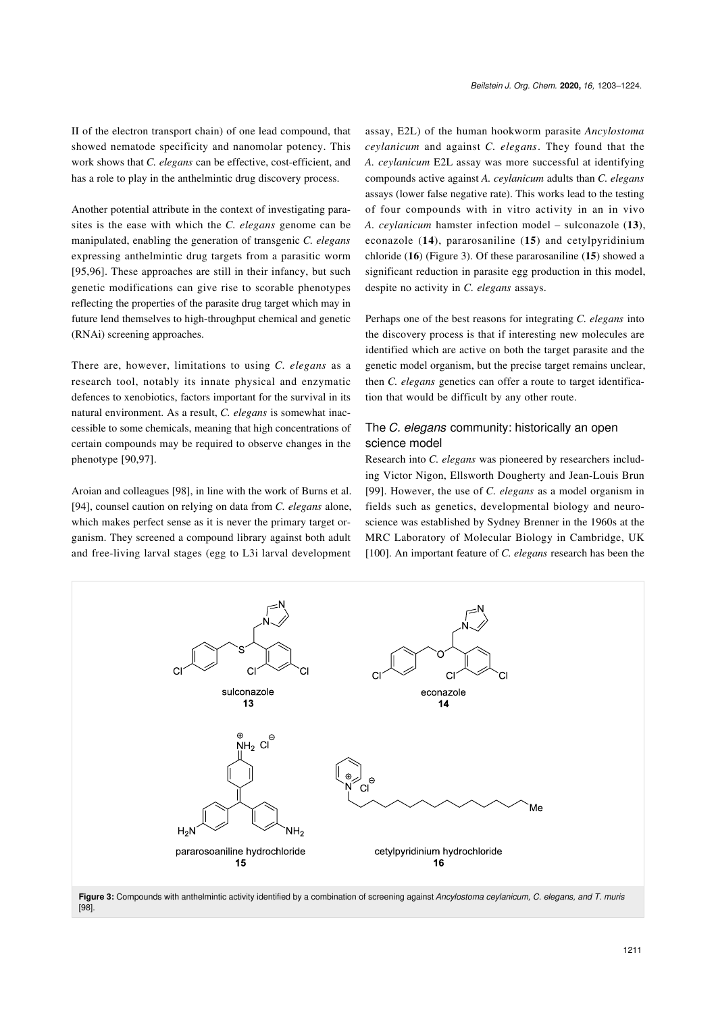II of the electron transport chain) of one lead compound, that showed nematode specificity and nanomolar potency. This work shows that *C. elegans* can be effective, cost-efficient, and has a role to play in the anthelmintic drug discovery process.

Another potential attribute in the context of investigating parasites is the ease with which the *C. elegans* genome can be manipulated, enabling the generation of transgenic *C. elegans* expressing anthelmintic drug targets from a parasitic worm [\[95,96\]](#page-19-1). These approaches are still in their infancy, but such genetic modifications can give rise to scorable phenotypes reflecting the properties of the parasite drug target which may in future lend themselves to high-throughput chemical and genetic (RNAi) screening approaches.

There are, however, limitations to using *C. elegans* as a research tool, notably its innate physical and enzymatic defences to xenobiotics, factors important for the survival in its natural environment. As a result, *C. elegans* is somewhat inaccessible to some chemicals, meaning that high concentrations of certain compounds may be required to observe changes in the phenotype [\[90,97\].](#page-18-26)

Aroian and colleagues [\[98\]](#page-19-0), in line with the work of Burns et al. [\[94\],](#page-18-25) counsel caution on relying on data from *C. elegans* alone, which makes perfect sense as it is never the primary target organism. They screened a compound library against both adult and free-living larval stages (egg to L3i larval development

assay, E2L) of the human hookworm parasite *Ancylostoma ceylanicum* and against *C. elegans*. They found that the *A. ceylanicum* E2L assay was more successful at identifying compounds active against *A. ceylanicum* adults than *C. elegans* assays (lower false negative rate). This works lead to the testing of four compounds with in vitro activity in an in vivo *A. ceylanicum* hamster infection model – sulconazole (**13**), econazole (**14**), pararosaniline (**15**) and cetylpyridinium chloride (**16**) ([Figure 3\)](#page-8-0). Of these pararosaniline (**15**) showed a significant reduction in parasite egg production in this model, despite no activity in *C. elegans* assays.

Perhaps one of the best reasons for integrating *C. elegans* into the discovery process is that if interesting new molecules are identified which are active on both the target parasite and the genetic model organism, but the precise target remains unclear, then *C. elegans* genetics can offer a route to target identification that would be difficult by any other route.

### The *C. elegans* community: historically an open science model

Research into *C. elegans* was pioneered by researchers including Victor Nigon, Ellsworth Dougherty and Jean-Louis Brun [\[99\]](#page-19-2). However, the use of *C. elegans* as a model organism in fields such as genetics, developmental biology and neuroscience was established by Sydney Brenner in the 1960s at the MRC Laboratory of Molecular Biology in Cambridge, UK [\[100\]](#page-19-3). An important feature of *C. elegans* research has been the

<span id="page-8-0"></span>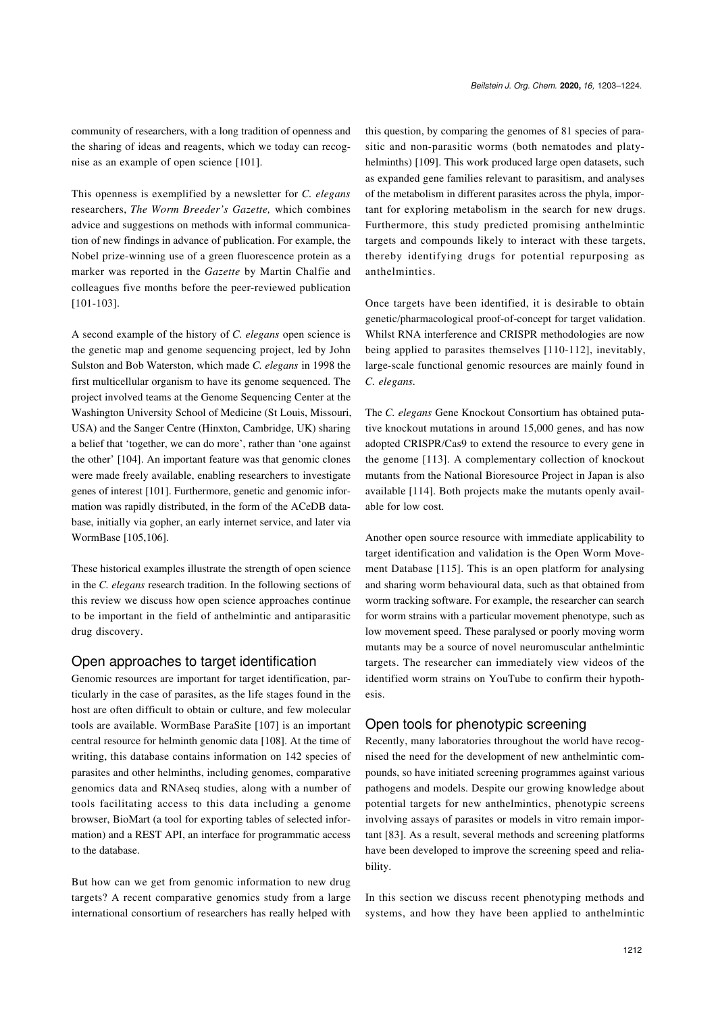community of researchers, with a long tradition of openness and the sharing of ideas and reagents, which we today can recognise as an example of open science [\[101\].](#page-19-4)

This openness is exemplified by a newsletter for *C. elegans* researchers, *The Worm Breeder's Gazette,* which combines advice and suggestions on methods with informal communication of new findings in advance of publication. For example, the Nobel prize-winning use of a green fluorescence protein as a marker was reported in the *Gazette* by Martin Chalfie and colleagues five months before the peer-reviewed publication [\[101-103\]](#page-19-4).

A second example of the history of *C. elegans* open science is the genetic map and genome sequencing project, led by John Sulston and Bob Waterston, which made *C. elegans* in 1998 the first multicellular organism to have its genome sequenced. The project involved teams at the Genome Sequencing Center at the Washington University School of Medicine (St Louis, Missouri, USA) and the Sanger Centre (Hinxton, Cambridge, UK) sharing a belief that 'together, we can do more', rather than 'one against the other' [\[104\]](#page-19-5). An important feature was that genomic clones were made freely available, enabling researchers to investigate genes of interest [\[101\]](#page-19-4). Furthermore, genetic and genomic information was rapidly distributed, in the form of the ACeDB database, initially via gopher, an early internet service, and later via WormBase [\[105,106\]](#page-19-6).

These historical examples illustrate the strength of open science in the *C. elegans* research tradition. In the following sections of this review we discuss how open science approaches continue to be important in the field of anthelmintic and antiparasitic drug discovery.

#### Open approaches to target identification

Genomic resources are important for target identification, particularly in the case of parasites, as the life stages found in the host are often difficult to obtain or culture, and few molecular tools are available. WormBase ParaSite [\[107\]](#page-19-7) is an important central resource for helminth genomic data [\[108\]](#page-19-8). At the time of writing, this database contains information on 142 species of parasites and other helminths, including genomes, comparative genomics data and RNAseq studies, along with a number of tools facilitating access to this data including a genome browser, BioMart (a tool for exporting tables of selected information) and a REST API, an interface for programmatic access to the database.

But how can we get from genomic information to new drug targets? A recent comparative genomics study from a large international consortium of researchers has really helped with

this question, by comparing the genomes of 81 species of parasitic and non-parasitic worms (both nematodes and platy-helminths) [\[109\]](#page-19-9). This work produced large open datasets, such as expanded gene families relevant to parasitism, and analyses of the metabolism in different parasites across the phyla, important for exploring metabolism in the search for new drugs. Furthermore, this study predicted promising anthelmintic targets and compounds likely to interact with these targets, thereby identifying drugs for potential repurposing as anthelmintics.

Once targets have been identified, it is desirable to obtain genetic/pharmacological proof-of-concept for target validation. Whilst RNA interference and CRISPR methodologies are now being applied to parasites themselves [\[110-112\]](#page-19-10), inevitably, large-scale functional genomic resources are mainly found in *C. elegans.*

The *C. elegans* Gene Knockout Consortium has obtained putative knockout mutations in around 15,000 genes, and has now adopted CRISPR/Cas9 to extend the resource to every gene in the genome [\[113\]](#page-19-11). A complementary collection of knockout mutants from the National Bioresource Project in Japan is also available [\[114\].](#page-19-12) Both projects make the mutants openly available for low cost.

Another open source resource with immediate applicability to target identification and validation is the Open Worm Movement Database [\[115\]](#page-19-13). This is an open platform for analysing and sharing worm behavioural data, such as that obtained from worm tracking software. For example, the researcher can search for worm strains with a particular movement phenotype, such as low movement speed. These paralysed or poorly moving worm mutants may be a source of novel neuromuscular anthelmintic targets. The researcher can immediately view videos of the identified worm strains on YouTube to confirm their hypothesis.

#### Open tools for phenotypic screening

Recently, many laboratories throughout the world have recognised the need for the development of new anthelmintic compounds, so have initiated screening programmes against various pathogens and models. Despite our growing knowledge about potential targets for new anthelmintics, phenotypic screens involving assays of parasites or models in vitro remain important [\[83\]](#page-18-15). As a result, several methods and screening platforms have been developed to improve the screening speed and reliability.

In this section we discuss recent phenotyping methods and systems, and how they have been applied to anthelmintic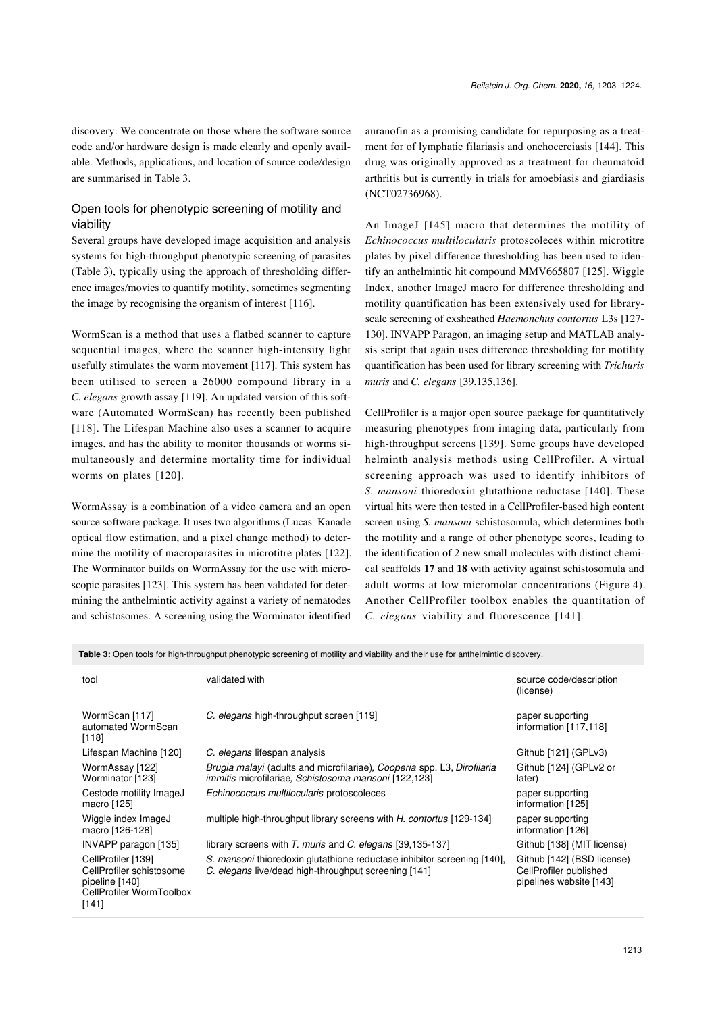discovery. We concentrate on those where the software source code and/or hardware design is made clearly and openly available. Methods, applications, and location of source code/design are summarised in [Table 3](#page-10-0).

#### Open tools for phenotypic screening of motility and viability

Several groups have developed image acquisition and analysis systems for high-throughput phenotypic screening of parasites ([Table 3\)](#page-10-0), typically using the approach of thresholding difference images/movies to quantify motility, sometimes segmenting the image by recognising the organism of interest [\[116\].](#page-19-25)

WormScan is a method that uses a flatbed scanner to capture sequential images, where the scanner high-intensity light usefully stimulates the worm movement [\[117\]](#page-19-14). This system has been utilised to screen a 26000 compound library in a *C. elegans* growth assay [\[119\]](#page-19-16). An updated version of this software (Automated WormScan) has recently been published [\[118\]](#page-19-15). The Lifespan Machine also uses a scanner to acquire images, and has the ability to monitor thousands of worms simultaneously and determine mortality time for individual worms on plates [\[120\]](#page-19-17).

WormAssay is a combination of a video camera and an open source software package. It uses two algorithms (Lucas–Kanade optical flow estimation, and a pixel change method) to determine the motility of macroparasites in microtitre plates [\[122\]](#page-19-19). The Worminator builds on WormAssay for the use with microscopic parasites [\[123\]](#page-19-20). This system has been validated for determining the anthelmintic activity against a variety of nematodes and schistosomes. A screening using the Worminator identified

auranofin as a promising candidate for repurposing as a treatment for of lymphatic filariasis and onchocerciasis [\[144\]](#page-20-7). This drug was originally approved as a treatment for rheumatoid arthritis but is currently in trials for amoebiasis and giardiasis (NCT02736968).

An ImageJ [\[145\]](#page-20-8) macro that determines the motility of *Echinococcus multilocularis* protoscoleces within microtitre plates by pixel difference thresholding has been used to identify an anthelmintic hit compound MMV665807 [\[125\].](#page-19-22) Wiggle Index, another ImageJ macro for difference thresholding and motility quantification has been extensively used for libraryscale screening of exsheathed *Haemonchus contortus* L3s [\[127-](#page-19-26) [130\]](#page-19-26). INVAPP Paragon, an imaging setup and MATLAB analysis script that again uses difference thresholding for motility quantification has been used for library screening with *Trichuris muris* and *C. elegans* [\[39,135,136\]](#page-17-9).

CellProfiler is a major open source package for quantitatively measuring phenotypes from imaging data, particularly from high-throughput screens [\[139\]](#page-20-2). Some groups have developed helminth analysis methods using CellProfiler. A virtual screening approach was used to identify inhibitors of *S. mansoni* thioredoxin glutathione reductase [\[140\].](#page-20-3) These virtual hits were then tested in a CellProfiler-based high content screen using *S. mansoni* schistosomula, which determines both the motility and a range of other phenotype scores, leading to the identification of 2 new small molecules with distinct chemical scaffolds **17** and **18** with activity against schistosomula and adult worms at low micromolar concentrations ([Figure 4](#page-11-0)). Another CellProfiler toolbox enables the quantitation of *C. elegans* viability and fluorescence [\[141\]](#page-20-4).

<span id="page-10-0"></span>**Table 3:** Open tools for high-throughput phenotypic screening of motility and viability and their use for anthelmintic discovery.

| tool                                                                                                  | validated with                                                                                                                  | source code/description<br>(license)                                            |
|-------------------------------------------------------------------------------------------------------|---------------------------------------------------------------------------------------------------------------------------------|---------------------------------------------------------------------------------|
| WormScan [117]<br>automated WormScan<br>[118]                                                         | C. elegans high-throughput screen [119]                                                                                         | paper supporting<br>information [117,118]                                       |
| Lifespan Machine [120]                                                                                | C. elegans lifespan analysis                                                                                                    | Github [121] (GPLv3)                                                            |
| WormAssay [122]<br>Worminator [123]                                                                   | Brugia malayi (adults and microfilariae), Cooperia spp. L3, Dirofilaria<br>immitis microfilariae, Schistosoma mansoni [122,123] | Github [124] (GPLv2 or<br>later)                                                |
| Cestode motility ImageJ<br>macro [125]                                                                | Echinococcus multilocularis protoscoleces                                                                                       | paper supporting<br>information [125]                                           |
| Wiggle index ImageJ<br>macro [126-128]                                                                | multiple high-throughput library screens with H. contortus [129-134]                                                            | paper supporting<br>information [126]                                           |
| INVAPP paragon [135]                                                                                  | library screens with $T$ . muris and $C$ . elegans [39,135-137]                                                                 | Github [138] (MIT license)                                                      |
| CellProfiler [139]<br>CellProfiler schistosome<br>pipeline [140]<br>CellProfiler WormToolbox<br>[141] | S. mansoni thioredoxin glutathione reductase inhibitor screening [140],<br>C. elegans live/dead high-throughput screening [141] | Github [142] (BSD license)<br>CellProfiler published<br>pipelines website [143] |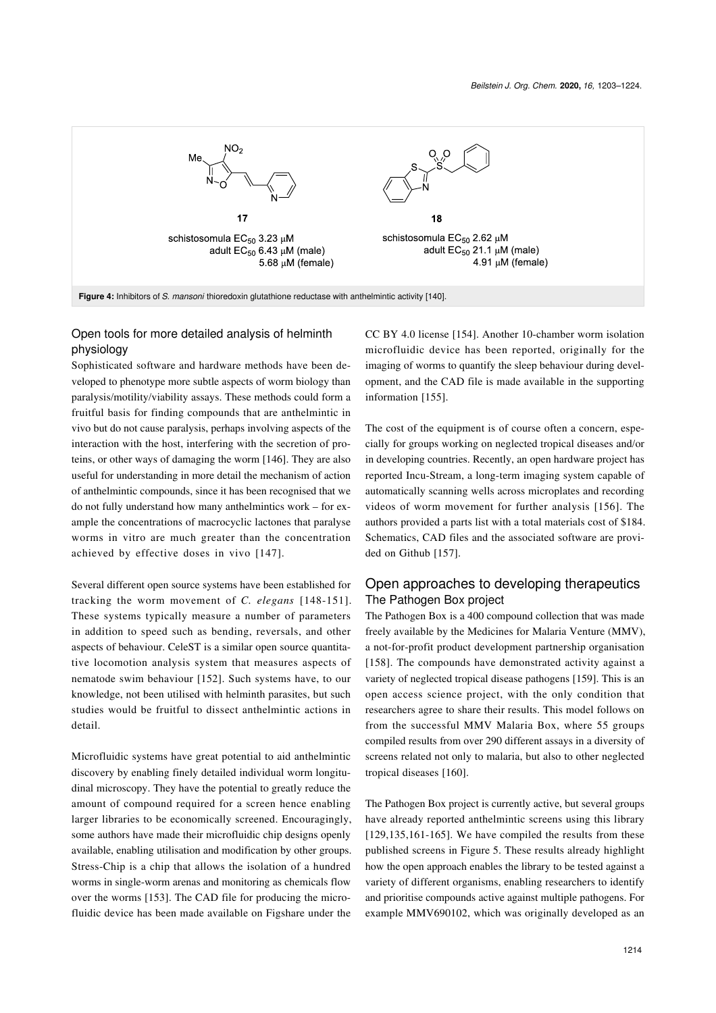<span id="page-11-0"></span>

# Open tools for more detailed analysis of helminth physiology

Sophisticated software and hardware methods have been developed to phenotype more subtle aspects of worm biology than paralysis/motility/viability assays. These methods could form a fruitful basis for finding compounds that are anthelmintic in vivo but do not cause paralysis, perhaps involving aspects of the interaction with the host, interfering with the secretion of proteins, or other ways of damaging the worm [\[146\].](#page-20-9) They are also useful for understanding in more detail the mechanism of action of anthelmintic compounds, since it has been recognised that we do not fully understand how many anthelmintics work – for example the concentrations of macrocyclic lactones that paralyse worms in vitro are much greater than the concentration achieved by effective doses in vivo [\[147\]](#page-20-10).

Several different open source systems have been established for tracking the worm movement of *C. elegans* [\[148-151\]](#page-20-11). These systems typically measure a number of parameters in addition to speed such as bending, reversals, and other aspects of behaviour. CeleST is a similar open source quantitative locomotion analysis system that measures aspects of nematode swim behaviour [\[152\]](#page-20-12). Such systems have, to our knowledge, not been utilised with helminth parasites, but such studies would be fruitful to dissect anthelmintic actions in detail.

Microfluidic systems have great potential to aid anthelmintic discovery by enabling finely detailed individual worm longitudinal microscopy. They have the potential to greatly reduce the amount of compound required for a screen hence enabling larger libraries to be economically screened. Encouragingly, some authors have made their microfluidic chip designs openly available, enabling utilisation and modification by other groups. Stress-Chip is a chip that allows the isolation of a hundred worms in single-worm arenas and monitoring as chemicals flow over the worms [\[153\]](#page-20-13). The CAD file for producing the microfluidic device has been made available on Figshare under the

CC BY 4.0 license [\[154\].](#page-20-14) Another 10-chamber worm isolation microfluidic device has been reported, originally for the imaging of worms to quantify the sleep behaviour during development, and the CAD file is made available in the supporting information [\[155\]](#page-20-15).

The cost of the equipment is of course often a concern, especially for groups working on neglected tropical diseases and/or in developing countries. Recently, an open hardware project has reported Incu-Stream, a long-term imaging system capable of automatically scanning wells across microplates and recording videos of worm movement for further analysis [\[156\].](#page-20-16) The authors provided a parts list with a total materials cost of \$184. Schematics, CAD files and the associated software are provided on Github [\[157\]](#page-20-17).

# Open approaches to developing therapeutics The Pathogen Box project

The Pathogen Box is a 400 compound collection that was made freely available by the Medicines for Malaria Venture (MMV), a not-for-profit product development partnership organisation [\[158\]](#page-20-18). The compounds have demonstrated activity against a variety of neglected tropical disease pathogens [\[159\]](#page-20-19). This is an open access science project, with the only condition that researchers agree to share their results. This model follows on from the successful MMV Malaria Box, where 55 groups compiled results from over 290 different assays in a diversity of screens related not only to malaria, but also to other neglected tropical diseases [\[160\]](#page-21-0).

The Pathogen Box project is currently active, but several groups have already reported anthelmintic screens using this library [\[129,135,161-165\]](#page-19-24). We have compiled the results from these published screens in [Figure 5](#page-12-0). These results already highlight how the open approach enables the library to be tested against a variety of different organisms, enabling researchers to identify and prioritise compounds active against multiple pathogens. For example MMV690102, which was originally developed as an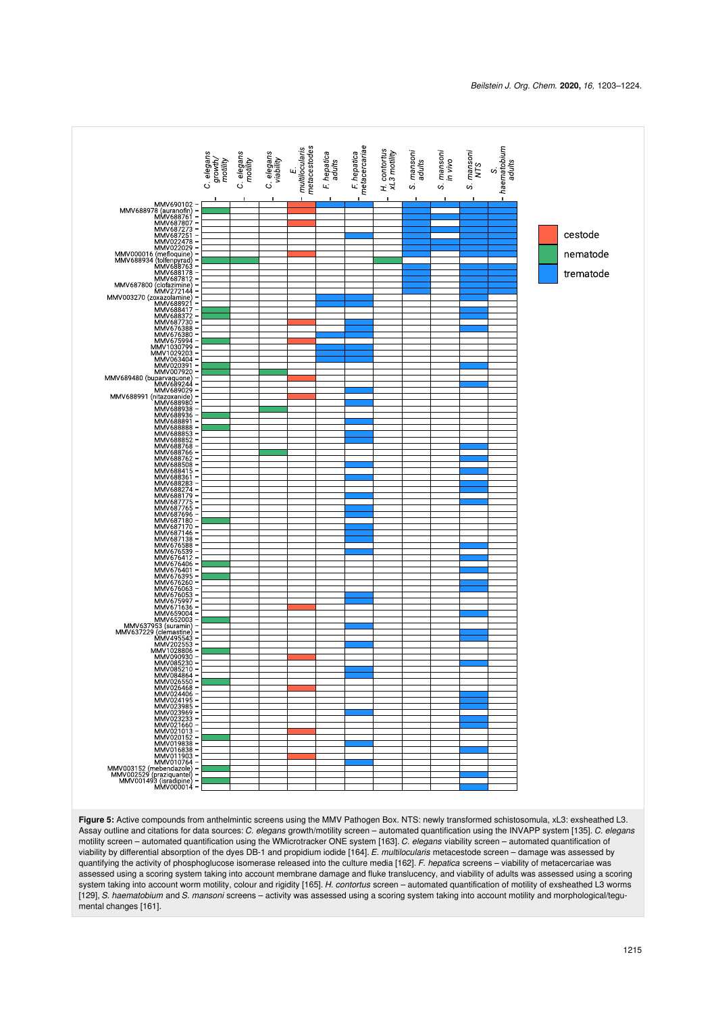<span id="page-12-0"></span>

**Figure 5:** Active compounds from anthelmintic screens using the MMV Pathogen Box. NTS: newly transformed schistosomula, xL3: exsheathed L3. Assay outline and citations for data sources: *C. elegans* growth/motility screen – automated quantification using the INVAPP system [\[135\].](#page-20-0) *C. elegans* motility screen – automated quantification using the WMicrotracker ONE system [\[163\]](#page-21-1). *C. elegans* viability screen – automated quantification of viability by differential absorption of the dyes DB-1 and propidium iodide [\[164\].](#page-21-2) *E. multilocularis* metacestode screen – damage was assessed by quantifying the activity of phosphoglucose isomerase released into the culture media [\[162\]](#page-21-3). *F. hepatica* screens – viability of metacercariae was assessed using a scoring system taking into account membrane damage and fluke translucency, and viability of adults was assessed using a scoring system taking into account worm motility, colour and rigidity [\[165\].](#page-21-4) *H. contortus* screen – automated quantification of motility of exsheathed L3 worms [\[129\]](#page-19-24), *S. haematobium* and *S. mansoni* screens – activity was assessed using a scoring system taking into account motility and morphological/tegu-mental changes [\[161\]](#page-21-5).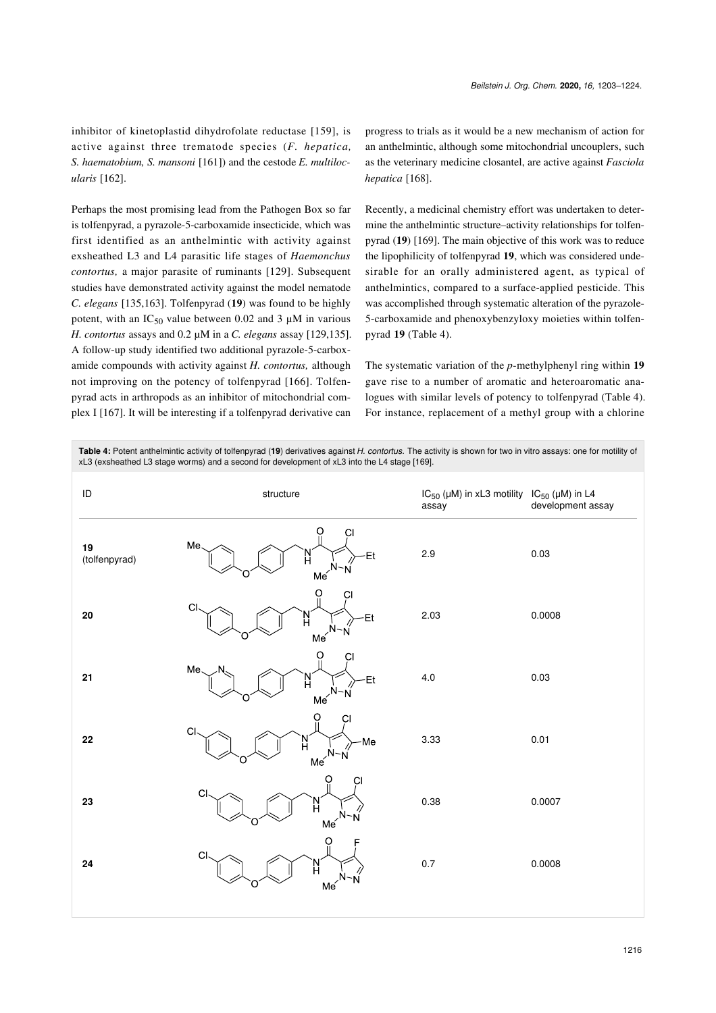inhibitor of kinetoplastid dihydrofolate reductase [\[159\]](#page-20-19), is active against three trematode species (*F. hepatica, S. haematobium, S. mansoni* [\[161\]\)](#page-21-5) and the cestode *E. multilocularis* [\[162\].](#page-21-3)

Perhaps the most promising lead from the Pathogen Box so far is tolfenpyrad, a pyrazole-5-carboxamide insecticide, which was first identified as an anthelmintic with activity against exsheathed L3 and L4 parasitic life stages of *Haemonchus contortus,* a major parasite of ruminants [\[129\]](#page-19-24). Subsequent studies have demonstrated activity against the model nematode *C. elegans* [\[135,163\].](#page-20-0) Tolfenpyrad (**19**) was found to be highly potent, with an  $IC_{50}$  value between 0.02 and 3  $\mu$ M in various *H. contortus* assays and 0.2 µM in a *C. elegans* assay [\[129,135\]](#page-19-24). A follow-up study identified two additional pyrazole-5-carboxamide compounds with activity against *H. contortus,* although not improving on the potency of tolfenpyrad [\[166\]](#page-21-7). Tolfenpyrad acts in arthropods as an inhibitor of mitochondrial complex I [\[167\]](#page-21-8). It will be interesting if a tolfenpyrad derivative can

progress to trials as it would be a new mechanism of action for an anthelmintic, although some mitochondrial uncouplers, such as the veterinary medicine closantel, are active against *Fasciola hepatica* [\[168\].](#page-21-9)

Recently, a medicinal chemistry effort was undertaken to determine the anthelmintic structure–activity relationships for tolfenpyrad (**19**) [\[169\]](#page-21-6). The main objective of this work was to reduce the lipophilicity of tolfenpyrad **19**, which was considered undesirable for an orally administered agent, as typical of anthelmintics, compared to a surface-applied pesticide. This was accomplished through systematic alteration of the pyrazole-5-carboxamide and phenoxybenzyloxy moieties within tolfenpyrad **19** [\(Table 4](#page-13-0)).

The systematic variation of the *p*-methylphenyl ring within **19** gave rise to a number of aromatic and heteroaromatic analogues with similar levels of potency to tolfenpyrad ([Table 4](#page-13-0)). For instance, replacement of a methyl group with a chlorine

<span id="page-13-0"></span>**Table 4:** Potent anthelmintic activity of tolfenpyrad (**19**) derivatives against *H. contortus.* The activity is shown for two in vitro assays: one for motility of xL3 (exsheathed L3 stage worms) and a second for development of xL3 into the L4 stage [\[169\].](#page-21-6)

| $\sf ID$            | structure                                                                              | $IC_{50}$ (µM) in xL3 motility $IC_{50}$ (µM) in L4<br>assay | development assay |
|---------------------|----------------------------------------------------------------------------------------|--------------------------------------------------------------|-------------------|
| 19<br>(tolfenpyrad) | ဝူ<br>CI<br>Me<br>H<br>Et<br>$Me^{\overset{\rightarrow}{N}-\overset{\rightarrow}{N}}$  | 2.9                                                          | 0.03              |
| ${\bf 20}$          | O<br><b>CI</b><br>C <sub>1</sub><br>`N<br>H<br>Et<br>$Me^{\overset{\cdot}{N}-1}$<br>٠N | 2.03                                                         | 0.0008            |
| ${\bf 21}$          | Ō<br>CI<br>Me<br>'N<br>H<br>-Et<br>$Me^{-N-\Lambda^{'} }$                              | $4.0\,$                                                      | 0.03              |
| ${\bf 22}$          | C1<br>Ω<br>C<br>'N<br>H<br>-Me<br>$Me^{\overset{\cdot}{N}-\overset{\cdot}{N}}$         | 3.33                                                         | 0.01              |
| 23                  | O<br>CI<br>CI<br>'N<br>H<br>$Me^{\overset{\leftarrow}{N}-\overset{\leftarrow}{N}}$     | 0.38                                                         | 0.0007            |
| 24                  | ö<br>CI<br>H<br>$Me^{\frac{N}{2}}$<br>N                                                | $0.7\,$                                                      | 0.0008            |
|                     |                                                                                        |                                                              |                   |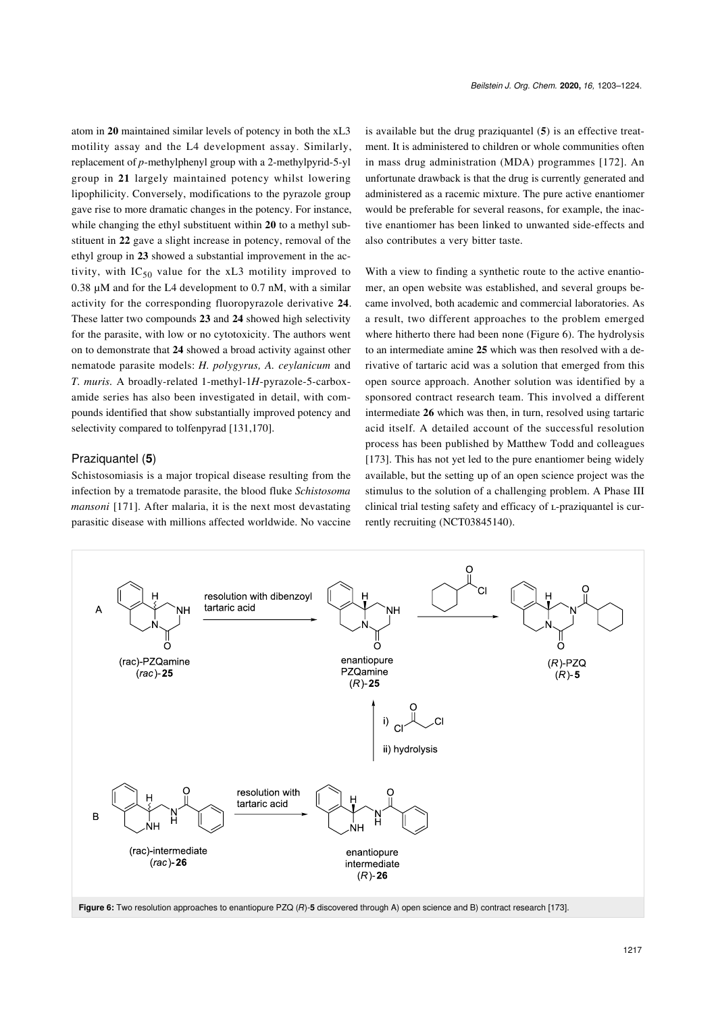atom in **20** maintained similar levels of potency in both the xL3 motility assay and the L4 development assay. Similarly, replacement of *p*-methylphenyl group with a 2-methylpyrid-5-yl group in **21** largely maintained potency whilst lowering lipophilicity. Conversely, modifications to the pyrazole group gave rise to more dramatic changes in the potency. For instance, while changing the ethyl substituent within **20** to a methyl substituent in **22** gave a slight increase in potency, removal of the ethyl group in **23** showed a substantial improvement in the activity, with  $IC_{50}$  value for the xL3 motility improved to 0.38 µM and for the L4 development to 0.7 nM, with a similar activity for the corresponding fluoropyrazole derivative **24**. These latter two compounds **23** and **24** showed high selectivity for the parasite, with low or no cytotoxicity. The authors went on to demonstrate that **24** showed a broad activity against other nematode parasite models: *H. polygyrus, A. ceylanicum* and *T. muris.* A broadly-related 1-methyl-1*H*-pyrazole-5-carboxamide series has also been investigated in detail, with compounds identified that show substantially improved potency and selectivity compared to tolfenpyrad [\[131,170\].](#page-19-27)

#### Praziquantel (**5**)

Schistosomiasis is a major tropical disease resulting from the infection by a trematode parasite, the blood fluke *Schistosoma mansoni* [\[171\]](#page-21-11). After malaria, it is the next most devastating parasitic disease with millions affected worldwide. No vaccine is available but the drug praziquantel (**5**) is an effective treatment. It is administered to children or whole communities often in mass drug administration (MDA) programmes [\[172\]](#page-21-12). An unfortunate drawback is that the drug is currently generated and administered as a racemic mixture. The pure active enantiomer would be preferable for several reasons, for example, the inactive enantiomer has been linked to unwanted side-effects and also contributes a very bitter taste.

With a view to finding a synthetic route to the active enantiomer, an open website was established, and several groups became involved, both academic and commercial laboratories. As a result, two different approaches to the problem emerged where hitherto there had been none ([Figure 6](#page-14-0)). The hydrolysis to an intermediate amine **25** which was then resolved with a derivative of tartaric acid was a solution that emerged from this open source approach. Another solution was identified by a sponsored contract research team. This involved a different intermediate **26** which was then, in turn, resolved using tartaric acid itself. A detailed account of the successful resolution process has been published by Matthew Todd and colleagues [\[173\]](#page-21-10). This has not yet led to the pure enantiomer being widely available, but the setting up of an open science project was the stimulus to the solution of a challenging problem. A Phase III clinical trial testing safety and efficacy of L-praziquantel is currently recruiting (NCT03845140).

<span id="page-14-0"></span>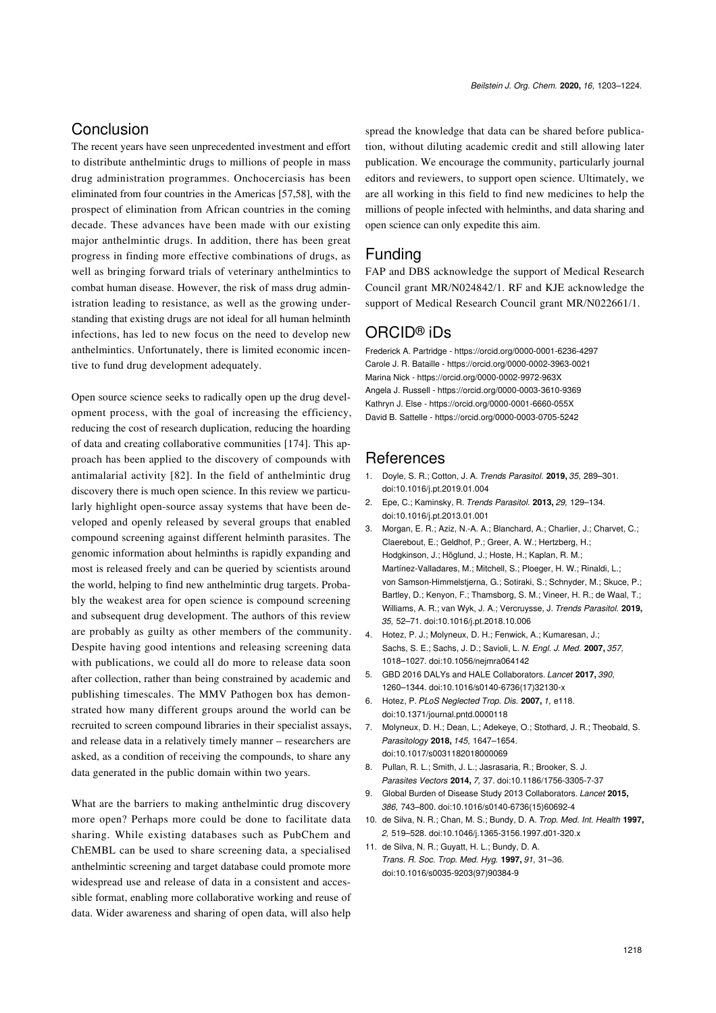# Conclusion

The recent years have seen unprecedented investment and effort to distribute anthelmintic drugs to millions of people in mass drug administration programmes. Onchocerciasis has been eliminated from four countries in the Americas [\[57,58\],](#page-17-27) with the prospect of elimination from African countries in the coming decade. These advances have been made with our existing major anthelmintic drugs. In addition, there has been great progress in finding more effective combinations of drugs, as well as bringing forward trials of veterinary anthelmintics to combat human disease. However, the risk of mass drug administration leading to resistance, as well as the growing understanding that existing drugs are not ideal for all human helminth infections, has led to new focus on the need to develop new anthelmintics. Unfortunately, there is limited economic incentive to fund drug development adequately.

Open source science seeks to radically open up the drug development process, with the goal of increasing the efficiency, reducing the cost of research duplication, reducing the hoarding of data and creating collaborative communities [\[174\].](#page-21-13) This approach has been applied to the discovery of compounds with antimalarial activity [\[82\]](#page-18-14). In the field of anthelmintic drug discovery there is much open science. In this review we particularly highlight open-source assay systems that have been developed and openly released by several groups that enabled compound screening against different helminth parasites. The genomic information about helminths is rapidly expanding and most is released freely and can be queried by scientists around the world, helping to find new anthelmintic drug targets. Probably the weakest area for open science is compound screening and subsequent drug development. The authors of this review are probably as guilty as other members of the community. Despite having good intentions and releasing screening data with publications, we could all do more to release data soon after collection, rather than being constrained by academic and publishing timescales. The MMV Pathogen box has demonstrated how many different groups around the world can be recruited to screen compound libraries in their specialist assays, and release data in a relatively timely manner – researchers are asked, as a condition of receiving the compounds, to share any data generated in the public domain within two years.

What are the barriers to making anthelmintic drug discovery more open? Perhaps more could be done to facilitate data sharing. While existing databases such as PubChem and ChEMBL can be used to share screening data, a specialised anthelmintic screening and target database could promote more widespread use and release of data in a consistent and accessible format, enabling more collaborative working and reuse of data. Wider awareness and sharing of open data, will also help

spread the knowledge that data can be shared before publication, without diluting academic credit and still allowing later publication. We encourage the community, particularly journal editors and reviewers, to support open science. Ultimately, we are all working in this field to find new medicines to help the millions of people infected with helminths, and data sharing and open science can only expedite this aim.

# Funding

FAP and DBS acknowledge the support of Medical Research Council grant MR/N024842/1. RF and KJE acknowledge the support of Medical Research Council grant MR/N022661/1.

# ORCID® iDs

Frederick A. Partridge - <https://orcid.org/0000-0001-6236-4297> Carole J. R. Bataille - <https://orcid.org/0000-0002-3963-0021> Marina Nick - <https://orcid.org/0000-0002-9972-963X> Angela J. Russell - <https://orcid.org/0000-0003-3610-9369> Kathryn J. Else - <https://orcid.org/0000-0001-6660-055X> David B. Sattelle - <https://orcid.org/0000-0003-0705-5242>

# References

- <span id="page-15-3"></span>1. Doyle, S. R.; Cotton, J. A. *Trends Parasitol.* **2019,** *35,* 289–301. [doi:10.1016/j.pt.2019.01.004](https://doi.org/10.1016%2Fj.pt.2019.01.004)
- <span id="page-15-4"></span>2. Epe, C.; Kaminsky, R. *Trends Parasitol.* **2013,** *29,* 129–134. [doi:10.1016/j.pt.2013.01.001](https://doi.org/10.1016%2Fj.pt.2013.01.001)
- <span id="page-15-5"></span>3. Morgan, E. R.; Aziz, N.-A. A.; Blanchard, A.; Charlier, J.; Charvet, C.; Claerebout, E.; Geldhof, P.; Greer, A. W.; Hertzberg, H.; Hodgkinson, J.; Höglund, J.; Hoste, H.; Kaplan, R. M.; Martínez-Valladares, M.; Mitchell, S.; Ploeger, H. W.; Rinaldi, L.; von Samson-Himmelstjerna, G.; Sotiraki, S.; Schnyder, M.; Skuce, P.; Bartley, D.; Kenyon, F.; Thamsborg, S. M.; Vineer, H. R.; de Waal, T.; Williams, A. R.; van Wyk, J. A.; Vercruysse, J. *Trends Parasitol.* **2019,** *35,* 52–71. [doi:10.1016/j.pt.2018.10.006](https://doi.org/10.1016%2Fj.pt.2018.10.006)
- <span id="page-15-6"></span>4. Hotez, P. J.; Molyneux, D. H.; Fenwick, A.; Kumaresan, J.; Sachs, S. E.; Sachs, J. D.; Savioli, L. *N. Engl. J. Med.* **2007,** *357,* 1018–1027. [doi:10.1056/nejmra064142](https://doi.org/10.1056%2Fnejmra064142)
- <span id="page-15-1"></span>5. GBD 2016 DALYs and HALE Collaborators. *Lancet* **2017,** *390,* 1260–1344. [doi:10.1016/s0140-6736\(17\)32130-x](https://doi.org/10.1016%2Fs0140-6736%2817%2932130-x)
- <span id="page-15-7"></span>6. Hotez, P. *PLoS Neglected Trop. Dis.* **2007,** *1,* e118. [doi:10.1371/journal.pntd.0000118](https://doi.org/10.1371%2Fjournal.pntd.0000118)
- 7. Molyneux, D. H.; Dean, L.; Adekeye, O.; Stothard, J. R.; Theobald, S. *Parasitology* **2018,** *145,* 1647–1654. [doi:10.1017/s0031182018000069](https://doi.org/10.1017%2Fs0031182018000069)
- <span id="page-15-0"></span>8. Pullan, R. L.; Smith, J. L.; Jasrasaria, R.; Brooker, S. J. *Parasites Vectors* **2014,** *7,* 37. [doi:10.1186/1756-3305-7-37](https://doi.org/10.1186%2F1756-3305-7-37)
- 9. Global Burden of Disease Study 2013 Collaborators. *Lancet* **2015,** *386,* 743–800. [doi:10.1016/s0140-6736\(15\)60692-4](https://doi.org/10.1016%2Fs0140-6736%2815%2960692-4)
- <span id="page-15-2"></span>10. de Silva, N. R.; Chan, M. S.; Bundy, D. A. *Trop. Med. Int. Health* **1997,** *2,* 519–528. [doi:10.1046/j.1365-3156.1997.d01-320.x](https://doi.org/10.1046%2Fj.1365-3156.1997.d01-320.x)
- 11. de Silva, N. R.; Guyatt, H. L.; Bundy, D. A. *Trans. R. Soc. Trop. Med. Hyg.* **1997,** *91,* 31–36. [doi:10.1016/s0035-9203\(97\)90384-9](https://doi.org/10.1016%2Fs0035-9203%2897%2990384-9)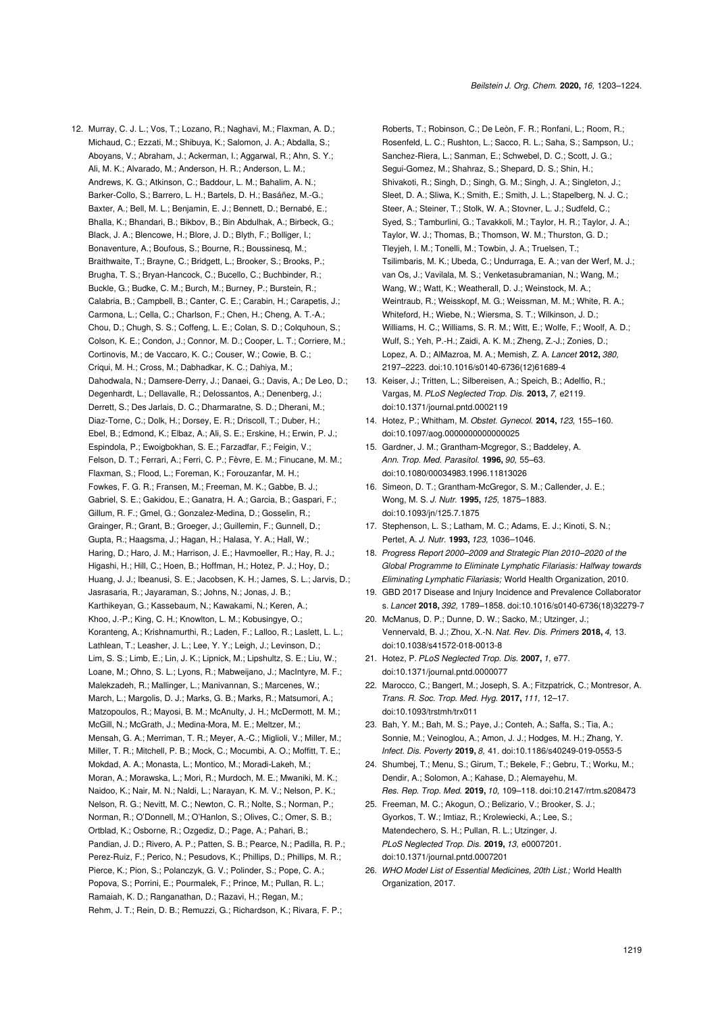12. Murray, C. J. L.; Vos, T.; Lozano, R.; Naghavi, M.; Flaxman, A. D.; Michaud, C.; Ezzati, M.; Shibuya, K.; Salomon, J. A.; Abdalla, S.; Aboyans, V.; Abraham, J.; Ackerman, I.; Aggarwal, R.; Ahn, S. Y.; Ali, M. K.; Alvarado, M.; Anderson, H. R.; Anderson, L. M.; Andrews, K. G.; Atkinson, C.; Baddour, L. M.; Bahalim, A. N.; Barker-Collo, S.; Barrero, L. H.; Bartels, D. H.; Basáñez, M.-G.; Baxter, A.; Bell, M. L.; Benjamin, E. J.; Bennett, D.; Bernabé, E.; Bhalla, K.; Bhandari, B.; Bikbov, B.; Bin Abdulhak, A.; Birbeck, G.; Black, J. A.; Blencowe, H.; Blore, J. D.; Blyth, F.; Bolliger, I.; Bonaventure, A.; Boufous, S.; Bourne, R.; Boussinesq, M.; Braithwaite, T.; Brayne, C.; Bridgett, L.; Brooker, S.; Brooks, P.; Brugha, T. S.; Bryan-Hancock, C.; Bucello, C.; Buchbinder, R.; Buckle, G.; Budke, C. M.; Burch, M.; Burney, P.; Burstein, R.; Calabria, B.; Campbell, B.; Canter, C. E.; Carabin, H.; Carapetis, J.; Carmona, L.; Cella, C.; Charlson, F.; Chen, H.; Cheng, A. T.-A.; Chou, D.; Chugh, S. S.; Coffeng, L. E.; Colan, S. D.; Colquhoun, S.; Colson, K. E.; Condon, J.; Connor, M. D.; Cooper, L. T.; Corriere, M.; Cortinovis, M.; de Vaccaro, K. C.; Couser, W.; Cowie, B. C.; Criqui, M. H.; Cross, M.; Dabhadkar, K. C.; Dahiya, M.; Dahodwala, N.; Damsere-Derry, J.; Danaei, G.; Davis, A.; De Leo, D.; Degenhardt, L.; Dellavalle, R.; Delossantos, A.; Denenberg, J.; Derrett, S.; Des Jarlais, D. C.; Dharmaratne, S. D.; Dherani, M.; Diaz-Torne, C.; Dolk, H.; Dorsey, E. R.; Driscoll, T.; Duber, H.; Ebel, B.; Edmond, K.; Elbaz, A.; Ali, S. E.; Erskine, H.; Erwin, P. J.; Espindola, P.; Ewoigbokhan, S. E.; Farzadfar, F.; Feigin, V.; Felson, D. T.; Ferrari, A.; Ferri, C. P.; Fèvre, E. M.; Finucane, M. M.; Flaxman, S.; Flood, L.; Foreman, K.; Forouzanfar, M. H.; Fowkes, F. G. R.; Fransen, M.; Freeman, M. K.; Gabbe, B. J.; Gabriel, S. E.; Gakidou, E.; Ganatra, H. A.; Garcia, B.; Gaspari, F.; Gillum, R. F.; Gmel, G.; Gonzalez-Medina, D.; Gosselin, R.; Grainger, R.; Grant, B.; Groeger, J.; Guillemin, F.; Gunnell, D.; Gupta, R.; Haagsma, J.; Hagan, H.; Halasa, Y. A.; Hall, W.; Haring, D.; Haro, J. M.; Harrison, J. E.; Havmoeller, R.; Hay, R. J.; Higashi, H.; Hill, C.; Hoen, B.; Hoffman, H.; Hotez, P. J.; Hoy, D.; Huang, J. J.; Ibeanusi, S. E.; Jacobsen, K. H.; James, S. L.; Jarvis, D.; Jasrasaria, R.; Jayaraman, S.; Johns, N.; Jonas, J. B.; Karthikeyan, G.; Kassebaum, N.; Kawakami, N.; Keren, A.; Khoo, J.-P.; King, C. H.; Knowlton, L. M.; Kobusingye, O.; Koranteng, A.; Krishnamurthi, R.; Laden, F.; Lalloo, R.; Laslett, L. L.; Lathlean, T.; Leasher, J. L.; Lee, Y. Y.; Leigh, J.; Levinson, D.; Lim, S. S.; Limb, E.; Lin, J. K.; Lipnick, M.; Lipshultz, S. E.; Liu, W.; Loane, M.; Ohno, S. L.; Lyons, R.; Mabweijano, J.; MacIntyre, M. F.; Malekzadeh, R.; Mallinger, L.; Manivannan, S.; Marcenes, W.; March, L.; Margolis, D. J.; Marks, G. B.; Marks, R.; Matsumori, A.; Matzopoulos, R.; Mayosi, B. M.; McAnulty, J. H.; McDermott, M. M.; McGill, N.; McGrath, J.; Medina-Mora, M. E.; Meltzer, M.; Mensah, G. A.; Merriman, T. R.; Meyer, A.-C.; Miglioli, V.; Miller, M.; Miller, T. R.; Mitchell, P. B.; Mock, C.; Mocumbi, A. O.; Moffitt, T. E.; Mokdad, A. A.; Monasta, L.; Montico, M.; Moradi-Lakeh, M.; Moran, A.; Morawska, L.; Mori, R.; Murdoch, M. E.; Mwaniki, M. K.; Naidoo, K.; Nair, M. N.; Naldi, L.; Narayan, K. M. V.; Nelson, P. K.; Nelson, R. G.; Nevitt, M. C.; Newton, C. R.; Nolte, S.; Norman, P.; Norman, R.; O'Donnell, M.; O'Hanlon, S.; Olives, C.; Omer, S. B.; Ortblad, K.; Osborne, R.; Ozgediz, D.; Page, A.; Pahari, B.; Pandian, J. D.; Rivero, A. P.; Patten, S. B.; Pearce, N.; Padilla, R. P.; Perez-Ruiz, F.; Perico, N.; Pesudovs, K.; Phillips, D.; Phillips, M. R.; Pierce, K.; Pion, S.; Polanczyk, G. V.; Polinder, S.; Pope, C. A.; Popova, S.; Porrini, E.; Pourmalek, F.; Prince, M.; Pullan, R. L.; Ramaiah, K. D.; Ranganathan, D.; Razavi, H.; Regan, M.; Rehm, J. T.; Rein, D. B.; Remuzzi, G.; Richardson, K.; Rivara, F. P.;

Roberts, T.; Robinson, C.; De Leòn, E. R.; Ronfani, L.; Room, R.; Rosenfeld, L. C.; Rushton, L.; Sacco, R. L.; Saha, S.; Sampson, U.; Sanchez-Riera, L.; Sanman, E.; Schwebel, D. C.; Scott, J. G.; Segui-Gomez, M.; Shahraz, S.; Shepard, D. S.; Shin, H.; Shivakoti, R.; Singh, D.; Singh, G. M.; Singh, J. A.; Singleton, J.; Sleet, D. A.; Sliwa, K.; Smith, E.; Smith, J. L.; Stapelberg, N. J. C.; Steer, A.; Steiner, T.; Stolk, W. A.; Stovner, L. J.; Sudfeld, C.; Syed, S.; Tamburlini, G.; Tavakkoli, M.; Taylor, H. R.; Taylor, J. A.; Taylor, W. J.; Thomas, B.; Thomson, W. M.; Thurston, G. D.; Tleyjeh, I. M.; Tonelli, M.; Towbin, J. A.; Truelsen, T.; Tsilimbaris, M. K.; Ubeda, C.; Undurraga, E. A.; van der Werf, M. J.; van Os, J.; Vavilala, M. S.; Venketasubramanian, N.; Wang, M.; Wang, W.; Watt, K.; Weatherall, D. J.; Weinstock, M. A.; Weintraub, R.; Weisskopf, M. G.; Weissman, M. M.; White, R. A.; Whiteford, H.; Wiebe, N.; Wiersma, S. T.; Wilkinson, J. D.; Williams, H. C.; Williams, S. R. M.; Witt, E.; Wolfe, F.; Woolf, A. D.; Wulf, S.; Yeh, P.-H.; Zaidi, A. K. M.; Zheng, Z.-J.; Zonies, D.; Lopez, A. D.; AlMazroa, M. A.; Memish, Z. A. *Lancet* **2012,** *380,* 2197–2223. [doi:10.1016/s0140-6736\(12\)61689-4](https://doi.org/10.1016%2Fs0140-6736%2812%2961689-4)

- <span id="page-16-0"></span>13. Keiser, J.; Tritten, L.; Silbereisen, A.; Speich, B.; Adelfio, R.; Vargas, M. *PLoS Neglected Trop. Dis.* **2013,** *7,* e2119. [doi:10.1371/journal.pntd.0002119](https://doi.org/10.1371%2Fjournal.pntd.0002119)
- 14. Hotez, P.; Whitham, M. *Obstet. Gynecol.* **2014,** *123,* 155–160. [doi:10.1097/aog.0000000000000025](https://doi.org/10.1097%2Faog.0000000000000025)
- <span id="page-16-1"></span>15. Gardner, J. M.; Grantham-Mcgregor, S.; Baddeley, A. *Ann. Trop. Med. Parasitol.* **1996,** *90,* 55–63. [doi:10.1080/00034983.1996.11813026](https://doi.org/10.1080%2F00034983.1996.11813026)
- 16. Simeon, D. T.; Grantham-McGregor, S. M.; Callender, J. E.; Wong, M. S. *J. Nutr.* **1995,** *125,* 1875–1883. [doi:10.1093/jn/125.7.1875](https://doi.org/10.1093%2Fjn%2F125.7.1875)
- 17. Stephenson, L. S.; Latham, M. C.; Adams, E. J.; Kinoti, S. N.; Pertet, A. *J. Nutr.* **1993,** *123,* 1036–1046.
- <span id="page-16-2"></span>18. *Progress Report 2000–2009 and Strategic Plan 2010–2020 of the Global Programme to Eliminate Lymphatic Filariasis: Halfway towards Eliminating Lymphatic Filariasis;* World Health Organization, 2010.
- <span id="page-16-3"></span>19. GBD 2017 Disease and Injury Incidence and Prevalence Collaborator s. *Lancet* **2018,** *392,* 1789–1858. [doi:10.1016/s0140-6736\(18\)32279-7](https://doi.org/10.1016%2Fs0140-6736%2818%2932279-7)
- <span id="page-16-4"></span>20. McManus, D. P.; Dunne, D. W.; Sacko, M.; Utzinger, J.; Vennervald, B. J.; Zhou, X.-N. *Nat. Rev. Dis. Primers* **2018,** *4,* 13. [doi:10.1038/s41572-018-0013-8](https://doi.org/10.1038%2Fs41572-018-0013-8)
- <span id="page-16-5"></span>21. Hotez, P. *PLoS Neglected Trop. Dis.* **2007,** *1,* e77. [doi:10.1371/journal.pntd.0000077](https://doi.org/10.1371%2Fjournal.pntd.0000077)
- <span id="page-16-6"></span>22. Marocco, C.; Bangert, M.; Joseph, S. A.; Fitzpatrick, C.; Montresor, A. *Trans. R. Soc. Trop. Med. Hyg.* **2017,** *111,* 12–17. [doi:10.1093/trstmh/trx011](https://doi.org/10.1093%2Ftrstmh%2Ftrx011)
- 23. Bah, Y. M.; Bah, M. S.; Paye, J.; Conteh, A.; Saffa, S.; Tia, A.; Sonnie, M.; Veinoglou, A.; Amon, J. J.; Hodges, M. H.; Zhang, Y. *Infect. Dis. Poverty* **2019,** *8,* 41. [doi:10.1186/s40249-019-0553-5](https://doi.org/10.1186%2Fs40249-019-0553-5)
- 24. Shumbej, T.; Menu, S.; Girum, T.; Bekele, F.; Gebru, T.; Worku, M.; Dendir, A.; Solomon, A.; Kahase, D.; Alemayehu, M. *Res. Rep. Trop. Med.* **2019,** *10,* 109–118. [doi:10.2147/rrtm.s208473](https://doi.org/10.2147%2Frrtm.s208473)
- <span id="page-16-7"></span>25. Freeman, M. C.; Akogun, O.; Belizario, V.; Brooker, S. J.; Gyorkos, T. W.; Imtiaz, R.; Krolewiecki, A.; Lee, S.; Matendechero, S. H.; Pullan, R. L.; Utzinger, J. *PLoS Neglected Trop. Dis.* **2019,** *13,* e0007201. [doi:10.1371/journal.pntd.0007201](https://doi.org/10.1371%2Fjournal.pntd.0007201)
- 26. *WHO Model List of Essential Medicines, 20th List.;* World Health Organization, 2017.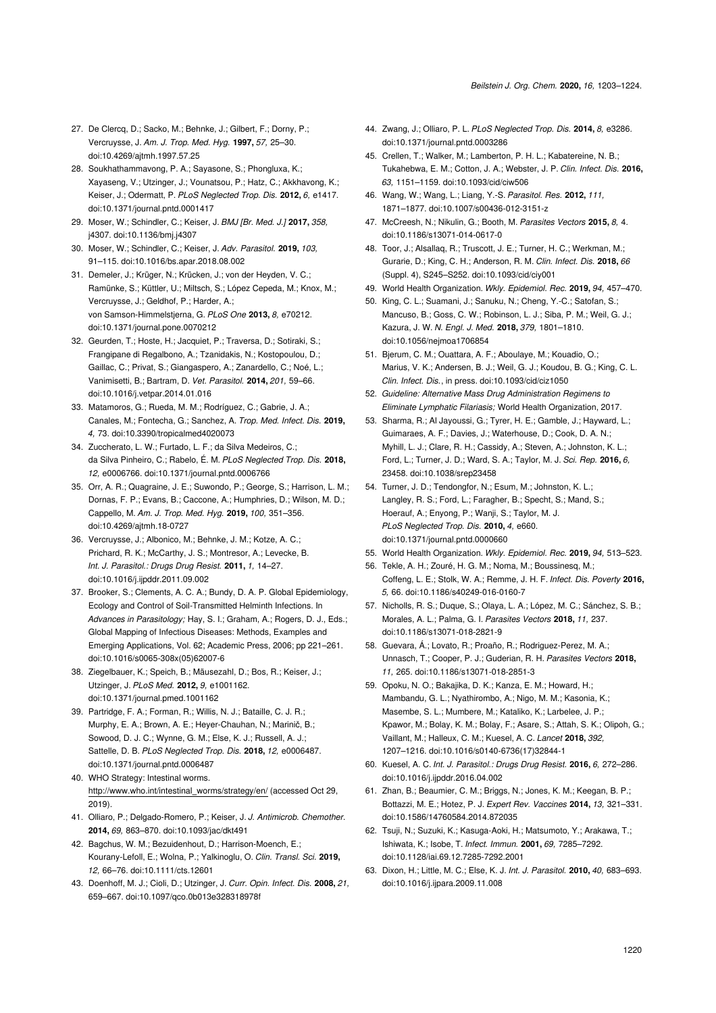- <span id="page-17-0"></span>27. De Clercq, D.; Sacko, M.; Behnke, J.; Gilbert, F.; Dorny, P.; Vercruysse, J. *Am. J. Trop. Med. Hyg.* **1997,** *57,* 25–30. [doi:10.4269/ajtmh.1997.57.25](https://doi.org/10.4269%2Fajtmh.1997.57.25)
- 28. Soukhathammavong, P. A.; Sayasone, S.; Phongluxa, K.; Xayaseng, V.; Utzinger, J.; Vounatsou, P.; Hatz, C.; Akkhavong, K.; Keiser, J.; Odermatt, P. *PLoS Neglected Trop. Dis.* **2012,** *6,* e1417. [doi:10.1371/journal.pntd.0001417](https://doi.org/10.1371%2Fjournal.pntd.0001417)
- <span id="page-17-1"></span>29. Moser, W.; Schindler, C.; Keiser, J. *BMJ [Br. Med. J.]* **2017,** *358,* j4307. [doi:10.1136/bmj.j4307](https://doi.org/10.1136%2Fbmj.j4307)
- <span id="page-17-2"></span>30. Moser, W.; Schindler, C.; Keiser, J. *Adv. Parasitol.* **2019,** *103,* 91–115. [doi:10.1016/bs.apar.2018.08.002](https://doi.org/10.1016%2Fbs.apar.2018.08.002)
- <span id="page-17-3"></span>31. Demeler, J.; Krüger, N.; Krücken, J.; von der Heyden, V. C.; Ramünke, S.; Küttler, U.; Miltsch, S.; López Cepeda, M.; Knox, M.; Vercruysse, J.; Geldhof, P.; Harder, A.; von Samson-Himmelstjerna, G. *PLoS One* **2013,** *8,* e70212. [doi:10.1371/journal.pone.0070212](https://doi.org/10.1371%2Fjournal.pone.0070212)
- 32. Geurden, T.; Hoste, H.; Jacquiet, P.; Traversa, D.; Sotiraki, S.; Frangipane di Regalbono, A.; Tzanidakis, N.; Kostopoulou, D.; Gaillac, C.; Privat, S.; Giangaspero, A.; Zanardello, C.; Noé, L.; Vanimisetti, B.; Bartram, D. *Vet. Parasitol.* **2014,** *201,* 59–66. [doi:10.1016/j.vetpar.2014.01.016](https://doi.org/10.1016%2Fj.vetpar.2014.01.016)
- <span id="page-17-4"></span>33. Matamoros, G.; Rueda, M. M.; Rodríguez, C.; Gabrie, J. A.; Canales, M.; Fontecha, G.; Sanchez, A. *Trop. Med. Infect. Dis.* **2019,** *4,* 73. [doi:10.3390/tropicalmed4020073](https://doi.org/10.3390%2Ftropicalmed4020073)
- <span id="page-17-5"></span>34. Zuccherato, L. W.; Furtado, L. F.; da Silva Medeiros, C.; da Silva Pinheiro, C.; Rabelo, É. M. *PLoS Neglected Trop. Dis.* **2018,** *12,* e0006766. [doi:10.1371/journal.pntd.0006766](https://doi.org/10.1371%2Fjournal.pntd.0006766)
- 35. Orr, A. R.; Quagraine, J. E.; Suwondo, P.; George, S.; Harrison, L. M.; Dornas, F. P.; Evans, B.; Caccone, A.; Humphries, D.; Wilson, M. D.; Cappello, M. *Am. J. Trop. Med. Hyg.* **2019,** *100,* 351–356. [doi:10.4269/ajtmh.18-0727](https://doi.org/10.4269%2Fajtmh.18-0727)
- <span id="page-17-6"></span>36. Vercruysse, J.; Albonico, M.; Behnke, J. M.; Kotze, A. C.; Prichard, R. K.; McCarthy, J. S.; Montresor, A.; Levecke, B. *Int. J. Parasitol.: Drugs Drug Resist.* **2011,** *1,* 14–27. [doi:10.1016/j.ijpddr.2011.09.002](https://doi.org/10.1016%2Fj.ijpddr.2011.09.002)
- <span id="page-17-7"></span>37. Brooker, S.; Clements, A. C. A.; Bundy, D. A. P. Global Epidemiology, Ecology and Control of Soil-Transmitted Helminth Infections. In *Advances in Parasitology;* Hay, S. I.; Graham, A.; Rogers, D. J., Eds.; Global Mapping of Infectious Diseases: Methods, Examples and Emerging Applications, Vol. 62; Academic Press, 2006; pp 221–261. [doi:10.1016/s0065-308x\(05\)62007-6](https://doi.org/10.1016%2Fs0065-308x%2805%2962007-6)
- <span id="page-17-8"></span>38. Ziegelbauer, K.; Speich, B.; Mäusezahl, D.; Bos, R.; Keiser, J.; Utzinger, J. *PLoS Med.* **2012,** *9,* e1001162. [doi:10.1371/journal.pmed.1001162](https://doi.org/10.1371%2Fjournal.pmed.1001162)
- <span id="page-17-9"></span>39. Partridge, F. A.; Forman, R.; Willis, N. J.; Bataille, C. J. R.; Murphy, E. A.; Brown, A. E.; Heyer-Chauhan, N.; Marinič, B.; Sowood, D. J. C.; Wynne, G. M.; Else, K. J.; Russell, A. J.; Sattelle, D. B. *PLoS Neglected Trop. Dis.* **2018,** *12,* e0006487. [doi:10.1371/journal.pntd.0006487](https://doi.org/10.1371%2Fjournal.pntd.0006487)
- <span id="page-17-10"></span>40. WHO Strategy: Intestinal worms. [http://www.who.int/intestinal\\_worms/strategy/en/](http://www.who.int/intestinal_worms/strategy/en/) (accessed Oct 29, 2019).
- <span id="page-17-11"></span>41. Olliaro, P.; Delgado-Romero, P.; Keiser, J. *J. Antimicrob. Chemother.* **2014,** *69,* 863–870. [doi:10.1093/jac/dkt491](https://doi.org/10.1093%2Fjac%2Fdkt491)
- <span id="page-17-12"></span>42. Bagchus, W. M.; Bezuidenhout, D.; Harrison-Moench, E.; Kourany-Lefoll, E.; Wolna, P.; Yalkinoglu, O. *Clin. Transl. Sci.* **2019,** *12,* 66–76. [doi:10.1111/cts.12601](https://doi.org/10.1111%2Fcts.12601)
- <span id="page-17-13"></span>43. Doenhoff, M. J.; Cioli, D.; Utzinger, J. *Curr. Opin. Infect. Dis.* **2008,** *21,* 659–667. [doi:10.1097/qco.0b013e328318978f](https://doi.org/10.1097%2Fqco.0b013e328318978f)
- <span id="page-17-14"></span>44. Zwang, J.; Olliaro, P. L. *PLoS Neglected Trop. Dis.* **2014,** *8,* e3286. [doi:10.1371/journal.pntd.0003286](https://doi.org/10.1371%2Fjournal.pntd.0003286)
- <span id="page-17-15"></span>45. Crellen, T.; Walker, M.; Lamberton, P. H. L.; Kabatereine, N. B.; Tukahebwa, E. M.; Cotton, J. A.; Webster, J. P. *Clin. Infect. Dis.* **2016,** *63,* 1151–1159. [doi:10.1093/cid/ciw506](https://doi.org/10.1093%2Fcid%2Fciw506)
- <span id="page-17-16"></span>46. Wang, W.; Wang, L.; Liang, Y.-S. *Parasitol. Res.* **2012,** *111,* 1871–1877. [doi:10.1007/s00436-012-3151-z](https://doi.org/10.1007%2Fs00436-012-3151-z)
- <span id="page-17-17"></span>47. McCreesh, N.; Nikulin, G.; Booth, M. *Parasites Vectors* **2015,** *8,* 4. [doi:10.1186/s13071-014-0617-0](https://doi.org/10.1186%2Fs13071-014-0617-0)
- <span id="page-17-18"></span>48. Toor, J.; Alsallaq, R.; Truscott, J. E.; Turner, H. C.; Werkman, M.; Gurarie, D.; King, C. H.; Anderson, R. M. *Clin. Infect. Dis.* **2018,** *66* (Suppl. 4), S245–S252. [doi:10.1093/cid/ciy001](https://doi.org/10.1093%2Fcid%2Fciy001)
- <span id="page-17-19"></span>49. World Health Organization. *Wkly. Epidemiol. Rec.* **2019,** *94,* 457–470.
- <span id="page-17-20"></span>50. King, C. L.; Suamani, J.; Sanuku, N.; Cheng, Y.-C.; Satofan, S.; Mancuso, B.; Goss, C. W.; Robinson, L. J.; Siba, P. M.; Weil, G. J.; Kazura, J. W. *N. Engl. J. Med.* **2018,** *379,* 1801–1810. [doi:10.1056/nejmoa1706854](https://doi.org/10.1056%2Fnejmoa1706854)
- <span id="page-17-21"></span>51. Bjerum, C. M.; Ouattara, A. F.; Aboulaye, M.; Kouadio, O.; Marius, V. K.; Andersen, B. J.; Weil, G. J.; Koudou, B. G.; King, C. L. *Clin. Infect. Dis.*, in press. [doi:10.1093/cid/ciz1050](https://doi.org/10.1093%2Fcid%2Fciz1050)
- <span id="page-17-22"></span>52. *Guideline: Alternative Mass Drug Administration Regimens to Eliminate Lymphatic Filariasis;* World Health Organization, 2017.
- <span id="page-17-23"></span>53. Sharma, R.; Al Jayoussi, G.; Tyrer, H. E.; Gamble, J.; Hayward, L.; Guimaraes, A. F.; Davies, J.; Waterhouse, D.; Cook, D. A. N.; Myhill, L. J.; Clare, R. H.; Cassidy, A.; Steven, A.; Johnston, K. L.; Ford, L.; Turner, J. D.; Ward, S. A.; Taylor, M. J. *Sci. Rep.* **2016,** *6,* 23458. [doi:10.1038/srep23458](https://doi.org/10.1038%2Fsrep23458)
- <span id="page-17-24"></span>54. Turner, J. D.; Tendongfor, N.; Esum, M.; Johnston, K. L.; Langley, R. S.; Ford, L.; Faragher, B.; Specht, S.; Mand, S.; Hoerauf, A.; Enyong, P.; Wanji, S.; Taylor, M. J. *PLoS Neglected Trop. Dis.* **2010,** *4,* e660. [doi:10.1371/journal.pntd.0000660](https://doi.org/10.1371%2Fjournal.pntd.0000660)
- <span id="page-17-25"></span>55. World Health Organization. *Wkly. Epidemiol. Rec.* **2019,** *94,* 513–523.
- <span id="page-17-26"></span>56. Tekle, A. H.; Zouré, H. G. M.; Noma, M.; Boussinesq, M.; Coffeng, L. E.; Stolk, W. A.; Remme, J. H. F. *Infect. Dis. Poverty* **2016,** *5,* 66. [doi:10.1186/s40249-016-0160-7](https://doi.org/10.1186%2Fs40249-016-0160-7)
- <span id="page-17-27"></span>57. Nicholls, R. S.; Duque, S.; Olaya, L. A.; López, M. C.; Sánchez, S. B.; Morales, A. L.; Palma, G. I. *Parasites Vectors* **2018,** *11,* 237. [doi:10.1186/s13071-018-2821-9](https://doi.org/10.1186%2Fs13071-018-2821-9)
- 58. Guevara, Á.; Lovato, R.; Proaño, R.; Rodriguez-Perez, M. A.; Unnasch, T.; Cooper, P. J.; Guderian, R. H. *Parasites Vectors* **2018,** *11,* 265. [doi:10.1186/s13071-018-2851-3](https://doi.org/10.1186%2Fs13071-018-2851-3)
- <span id="page-17-28"></span>59. Opoku, N. O.; Bakajika, D. K.; Kanza, E. M.; Howard, H.; Mambandu, G. L.; Nyathirombo, A.; Nigo, M. M.; Kasonia, K.; Masembe, S. L.; Mumbere, M.; Kataliko, K.; Larbelee, J. P.; Kpawor, M.; Bolay, K. M.; Bolay, F.; Asare, S.; Attah, S. K.; Olipoh, G.; Vaillant, M.; Halleux, C. M.; Kuesel, A. C. *Lancet* **2018,** *392,* 1207–1216. [doi:10.1016/s0140-6736\(17\)32844-1](https://doi.org/10.1016%2Fs0140-6736%2817%2932844-1)
- <span id="page-17-29"></span>60. Kuesel, A. C. *Int. J. Parasitol.: Drugs Drug Resist.* **2016,** *6,* 272–286. [doi:10.1016/j.ijpddr.2016.04.002](https://doi.org/10.1016%2Fj.ijpddr.2016.04.002)
- <span id="page-17-30"></span>61. Zhan, B.; Beaumier, C. M.; Briggs, N.; Jones, K. M.; Keegan, B. P.; Bottazzi, M. E.; Hotez, P. J. *Expert Rev. Vaccines* **2014,** *13,* 321–331. [doi:10.1586/14760584.2014.872035](https://doi.org/10.1586%2F14760584.2014.872035)
- 62. Tsuji, N.; Suzuki, K.; Kasuga-Aoki, H.; Matsumoto, Y.; Arakawa, T.; Ishiwata, K.; Isobe, T. *Infect. Immun.* **2001,** *69,* 7285–7292. [doi:10.1128/iai.69.12.7285-7292.2001](https://doi.org/10.1128%2Fiai.69.12.7285-7292.2001)
- 63. Dixon, H.; Little, M. C.; Else, K. J. *Int. J. Parasitol.* **2010,** *40,* 683–693. [doi:10.1016/j.ijpara.2009.11.008](https://doi.org/10.1016%2Fj.ijpara.2009.11.008)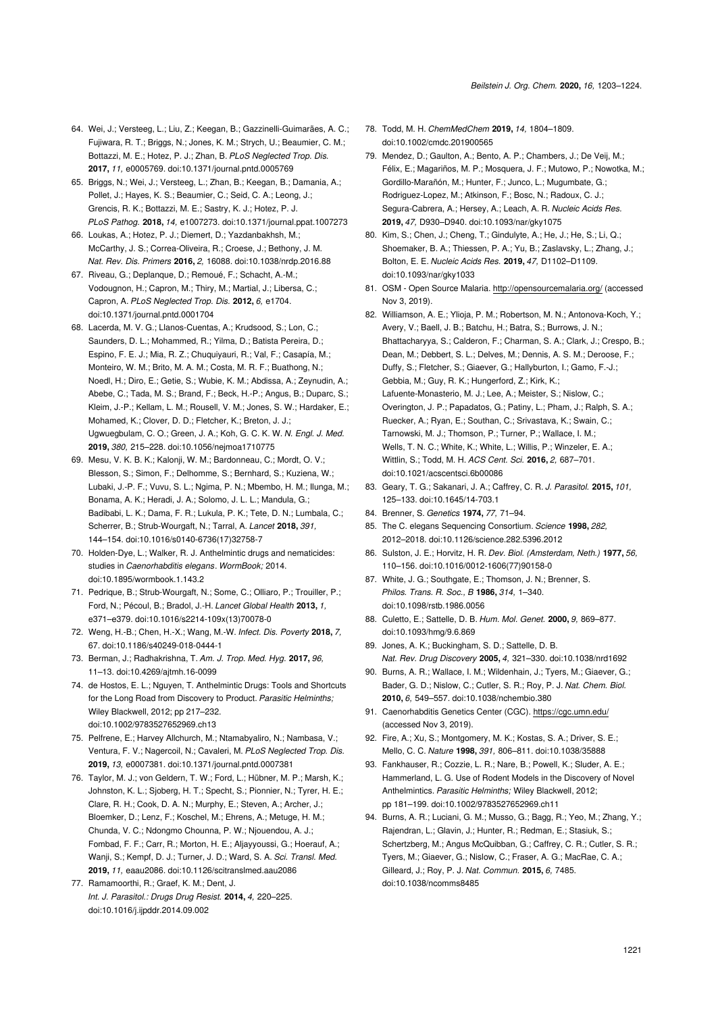- 64. Wei, J.; Versteeg, L.; Liu, Z.; Keegan, B.; Gazzinelli-Guimarães, A. C.; Fujiwara, R. T.; Briggs, N.; Jones, K. M.; Strych, U.; Beaumier, C. M.; Bottazzi, M. E.; Hotez, P. J.; Zhan, B. *PLoS Neglected Trop. Dis.* **2017,** *11,* e0005769. [doi:10.1371/journal.pntd.0005769](https://doi.org/10.1371%2Fjournal.pntd.0005769)
- 65. Briggs, N.; Wei, J.; Versteeg, L.; Zhan, B.; Keegan, B.; Damania, A.; Pollet, J.; Hayes, K. S.; Beaumier, C.; Seid, C. A.; Leong, J.; Grencis, R. K.; Bottazzi, M. E.; Sastry, K. J.; Hotez, P. J. *PLoS Pathog.* **2018,** *14,* e1007273. [doi:10.1371/journal.ppat.1007273](https://doi.org/10.1371%2Fjournal.ppat.1007273)
- <span id="page-18-0"></span>66. Loukas, A.; Hotez, P. J.; Diemert, D.; Yazdanbakhsh, M.; McCarthy, J. S.; Correa-Oliveira, R.; Croese, J.; Bethony, J. M. *Nat. Rev. Dis. Primers* **2016,** *2,* 16088. [doi:10.1038/nrdp.2016.88](https://doi.org/10.1038%2Fnrdp.2016.88) 67. Riveau, G.; Deplanque, D.; Remoué, F.; Schacht, A.-M.;
- <span id="page-18-1"></span>Vodougnon, H.; Capron, M.; Thiry, M.; Martial, J.; Libersa, C.; Capron, A. *PLoS Neglected Trop. Dis.* **2012,** *6,* e1704. [doi:10.1371/journal.pntd.0001704](https://doi.org/10.1371%2Fjournal.pntd.0001704)
- <span id="page-18-2"></span>68. Lacerda, M. V. G.; Llanos-Cuentas, A.; Krudsood, S.; Lon, C.; Saunders, D. L.; Mohammed, R.; Yilma, D.; Batista Pereira, D.; Espino, F. E. J.; Mia, R. Z.; Chuquiyauri, R.; Val, F.; Casapía, M.; Monteiro, W. M.; Brito, M. A. M.; Costa, M. R. F.; Buathong, N.; Noedl, H.; Diro, E.; Getie, S.; Wubie, K. M.; Abdissa, A.; Zeynudin, A.; Abebe, C.; Tada, M. S.; Brand, F.; Beck, H.-P.; Angus, B.; Duparc, S.; Kleim, J.-P.; Kellam, L. M.; Rousell, V. M.; Jones, S. W.; Hardaker, E.; Mohamed, K.; Clover, D. D.; Fletcher, K.; Breton, J. J.; Ugwuegbulam, C. O.; Green, J. A.; Koh, G. C. K. W. *N. Engl. J. Med.* **2019,** *380,* 215–228. [doi:10.1056/nejmoa1710775](https://doi.org/10.1056%2Fnejmoa1710775)
- <span id="page-18-6"></span>69. Mesu, V. K. B. K.; Kalonji, W. M.; Bardonneau, C.; Mordt, O. V.; Blesson, S.; Simon, F.; Delhomme, S.; Bernhard, S.; Kuziena, W.; Lubaki, J.-P. F.; Vuvu, S. L.; Ngima, P. N.; Mbembo, H. M.; Ilunga, M.; Bonama, A. K.; Heradi, J. A.; Solomo, J. L. L.; Mandula, G.; Badibabi, L. K.; Dama, F. R.; Lukula, P. K.; Tete, D. N.; Lumbala, C.; Scherrer, B.; Strub-Wourgaft, N.; Tarral, A. *Lancet* **2018,** *391,* 144–154. [doi:10.1016/s0140-6736\(17\)32758-7](https://doi.org/10.1016%2Fs0140-6736%2817%2932758-7)
- <span id="page-18-3"></span>70. Holden-Dye, L.; Walker, R. J. Anthelmintic drugs and nematicides: studies in *Caenorhabditis elegans*. *WormBook;* 2014. [doi:10.1895/wormbook.1.143.2](https://doi.org/10.1895%2Fwormbook.1.143.2)
- <span id="page-18-4"></span>71. Pedrique, B.; Strub-Wourgaft, N.; Some, C.; Olliaro, P.; Trouiller, P.; Ford, N.; Pécoul, B.; Bradol, J.-H. *Lancet Global Health* **2013,** *1,* e371–e379. [doi:10.1016/s2214-109x\(13\)70078-0](https://doi.org/10.1016%2Fs2214-109x%2813%2970078-0)
- <span id="page-18-9"></span>72. Weng, H.-B.; Chen, H.-X.; Wang, M.-W. *Infect. Dis. Poverty* **2018,** *7,* 67. [doi:10.1186/s40249-018-0444-1](https://doi.org/10.1186%2Fs40249-018-0444-1)
- <span id="page-18-5"></span>73. Berman, J.; Radhakrishna, T. *Am. J. Trop. Med. Hyg.* **2017,** *96,* 11–13. [doi:10.4269/ajtmh.16-0099](https://doi.org/10.4269%2Fajtmh.16-0099)
- 74. de Hostos, E. L.; Nguyen, T. Anthelmintic Drugs: Tools and Shortcuts for the Long Road from Discovery to Product. *Parasitic Helminths;* Wiley Blackwell, 2012; pp 217–232. [doi:10.1002/9783527652969.ch13](https://doi.org/10.1002%2F9783527652969.ch13)
- 75. Pelfrene, E.; Harvey Allchurch, M.; Ntamabyaliro, N.; Nambasa, V.; Ventura, F. V.; Nagercoil, N.; Cavaleri, M. *PLoS Neglected Trop. Dis.* **2019,** *13,* e0007381. [doi:10.1371/journal.pntd.0007381](https://doi.org/10.1371%2Fjournal.pntd.0007381)
- <span id="page-18-7"></span>76. Taylor, M. J.; von Geldern, T. W.; Ford, L.; Hübner, M. P.; Marsh, K.; Johnston, K. L.; Sjoberg, H. T.; Specht, S.; Pionnier, N.; Tyrer, H. E.; Clare, R. H.; Cook, D. A. N.; Murphy, E.; Steven, A.; Archer, J.; Bloemker, D.; Lenz, F.; Koschel, M.; Ehrens, A.; Metuge, H. M.; Chunda, V. C.; Ndongmo Chounna, P. W.; Njouendou, A. J.; Fombad, F. F.; Carr, R.; Morton, H. E.; Aljayyoussi, G.; Hoerauf, A.; Wanji, S.; Kempf, D. J.; Turner, J. D.; Ward, S. A. *Sci. Transl. Med.* **2019,** *11,* eaau2086. [doi:10.1126/scitranslmed.aau2086](https://doi.org/10.1126%2Fscitranslmed.aau2086)
- <span id="page-18-8"></span>77. Ramamoorthi, R.; Graef, K. M.; Dent, J. *Int. J. Parasitol.: Drugs Drug Resist.* **2014,** *4,* 220–225. [doi:10.1016/j.ijpddr.2014.09.002](https://doi.org/10.1016%2Fj.ijpddr.2014.09.002)
- <span id="page-18-10"></span>78. Todd, M. H. *ChemMedChem* **2019,** *14,* 1804–1809. [doi:10.1002/cmdc.201900565](https://doi.org/10.1002%2Fcmdc.201900565)
- <span id="page-18-11"></span>79. Mendez, D.; Gaulton, A.; Bento, A. P.; Chambers, J.; De Veij, M.; Félix, E.; Magariños, M. P.; Mosquera, J. F.; Mutowo, P.; Nowotka, M.; Gordillo-Marañón, M.; Hunter, F.; Junco, L.; Mugumbate, G.; Rodriguez-Lopez, M.; Atkinson, F.; Bosc, N.; Radoux, C. J.; Segura-Cabrera, A.; Hersey, A.; Leach, A. R. *Nucleic Acids Res.* **2019,** *47,* D930–D940. [doi:10.1093/nar/gky1075](https://doi.org/10.1093%2Fnar%2Fgky1075)
- <span id="page-18-12"></span>80. Kim, S.; Chen, J.; Cheng, T.; Gindulyte, A.; He, J.; He, S.; Li, Q.; Shoemaker, B. A.; Thiessen, P. A.; Yu, B.; Zaslavsky, L.; Zhang, J.; Bolton, E. E. *Nucleic Acids Res.* **2019,** *47,* D1102–D1109. [doi:10.1093/nar/gky1033](https://doi.org/10.1093%2Fnar%2Fgky1033)
- <span id="page-18-13"></span>81. OSM - Open Source Malaria. <http://opensourcemalaria.org/>(accessed Nov 3, 2019).
- <span id="page-18-14"></span>82. Williamson, A. E.; Ylioja, P. M.; Robertson, M. N.; Antonova-Koch, Y.; Avery, V.; Baell, J. B.; Batchu, H.; Batra, S.; Burrows, J. N.; Bhattacharyya, S.; Calderon, F.; Charman, S. A.; Clark, J.; Crespo, B.; Dean, M.; Debbert, S. L.; Delves, M.; Dennis, A. S. M.; Deroose, F.; Duffy, S.; Fletcher, S.; Giaever, G.; Hallyburton, I.; Gamo, F.-J.; Gebbia, M.; Guy, R. K.; Hungerford, Z.; Kirk, K.; Lafuente-Monasterio, M. J.; Lee, A.; Meister, S.; Nislow, C.; Overington, J. P.; Papadatos, G.; Patiny, L.; Pham, J.; Ralph, S. A.; Ruecker, A.; Ryan, E.; Southan, C.; Srivastava, K.; Swain, C.; Tarnowski, M. J.; Thomson, P.; Turner, P.; Wallace, I. M.; Wells, T. N. C.; White, K.; White, L.; Willis, P.; Winzeler, E. A.; Wittlin, S.; Todd, M. H. *ACS Cent. Sci.* **2016,** *2,* 687–701. [doi:10.1021/acscentsci.6b00086](https://doi.org/10.1021%2Facscentsci.6b00086)
- <span id="page-18-15"></span>83. Geary, T. G.; Sakanari, J. A.; Caffrey, C. R. *J. Parasitol.* **2015,** *101,* 125–133. [doi:10.1645/14-703.1](https://doi.org/10.1645%2F14-703.1)
- <span id="page-18-16"></span>84. Brenner, S. *Genetics* **1974,** *77,* 71–94.
- <span id="page-18-17"></span>85. The C. elegans Sequencing Consortium. *Science* **1998,** *282,* 2012–2018. [doi:10.1126/science.282.5396.2012](https://doi.org/10.1126%2Fscience.282.5396.2012)
- <span id="page-18-18"></span>86. Sulston, J. E.; Horvitz, H. R. *Dev. Biol. (Amsterdam, Neth.)* **1977,** *56,* 110–156. [doi:10.1016/0012-1606\(77\)90158-0](https://doi.org/10.1016%2F0012-1606%2877%2990158-0)
- <span id="page-18-19"></span>87. White, J. G.; Southgate, E.; Thomson, J. N.; Brenner, S. *Philos. Trans. R. Soc., B* **1986,** *314,* 1–340. [doi:10.1098/rstb.1986.0056](https://doi.org/10.1098%2Frstb.1986.0056)
- <span id="page-18-20"></span>88. Culetto, E.; Sattelle, D. B. *Hum. Mol. Genet.* **2000,** *9,* 869–877. [doi:10.1093/hmg/9.6.869](https://doi.org/10.1093%2Fhmg%2F9.6.869)
- <span id="page-18-21"></span>89. Jones, A. K.; Buckingham, S. D.; Sattelle, D. B. *Nat. Rev. Drug Discovery* **2005,** *4,* 321–330. [doi:10.1038/nrd1692](https://doi.org/10.1038%2Fnrd1692)
- <span id="page-18-26"></span>90. Burns, A. R.; Wallace, I. M.; Wildenhain, J.; Tyers, M.; Giaever, G.; Bader, G. D.; Nislow, C.; Cutler, S. R.; Roy, P. J. *Nat. Chem. Biol.* **2010,** *6,* 549–557. [doi:10.1038/nchembio.380](https://doi.org/10.1038%2Fnchembio.380)
- <span id="page-18-22"></span>91. Caenorhabditis Genetics Center (CGC).<https://cgc.umn.edu/> (accessed Nov 3, 2019).
- <span id="page-18-23"></span>92. Fire, A.; Xu, S.; Montgomery, M. K.; Kostas, S. A.; Driver, S. E.; Mello, C. C. *Nature* **1998,** *391,* 806–811. [doi:10.1038/35888](https://doi.org/10.1038%2F35888)
- <span id="page-18-24"></span>93. Fankhauser, R.; Cozzie, L. R.; Nare, B.; Powell, K.; Sluder, A. E.; Hammerland, L. G. Use of Rodent Models in the Discovery of Novel Anthelmintics. *Parasitic Helminths;* Wiley Blackwell, 2012; pp 181–199. [doi:10.1002/9783527652969.ch11](https://doi.org/10.1002%2F9783527652969.ch11)
- <span id="page-18-25"></span>94. Burns, A. R.; Luciani, G. M.; Musso, G.; Bagg, R.; Yeo, M.; Zhang, Y.; Rajendran, L.; Glavin, J.; Hunter, R.; Redman, E.; Stasiuk, S.; Schertzberg, M.; Angus McQuibban, G.; Caffrey, C. R.; Cutler, S. R.; Tyers, M.; Giaever, G.; Nislow, C.; Fraser, A. G.; MacRae, C. A.; Gilleard, J.; Roy, P. J. *Nat. Commun.* **2015,** *6,* 7485. [doi:10.1038/ncomms8485](https://doi.org/10.1038%2Fncomms8485)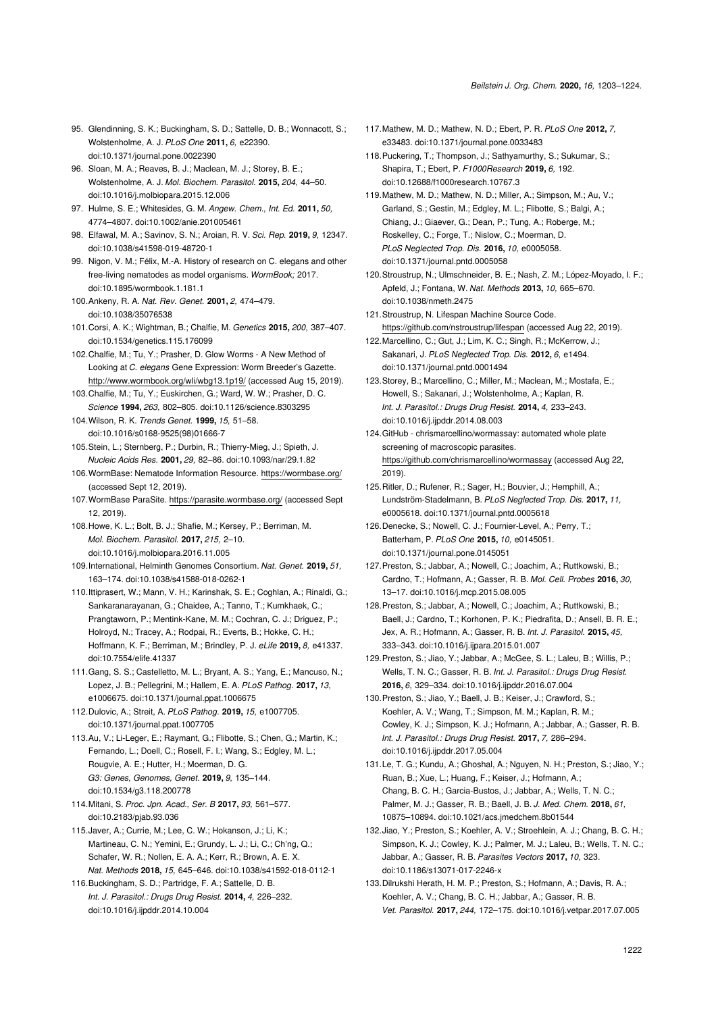- <span id="page-19-1"></span>95. Glendinning, S. K.; Buckingham, S. D.; Sattelle, D. B.; Wonnacott, S.; Wolstenholme, A. J. *PLoS One* **2011,** *6,* e22390. [doi:10.1371/journal.pone.0022390](https://doi.org/10.1371%2Fjournal.pone.0022390)
- 96. Sloan, M. A.; Reaves, B. J.; Maclean, M. J.; Storey, B. E.; Wolstenholme, A. J. *Mol. Biochem. Parasitol.* **2015,** *204,* 44–50. [doi:10.1016/j.molbiopara.2015.12.006](https://doi.org/10.1016%2Fj.molbiopara.2015.12.006)
- 97. Hulme, S. E.; Whitesides, G. M. *Angew. Chem., Int. Ed.* **2011,** *50,* 4774–4807. [doi:10.1002/anie.201005461](https://doi.org/10.1002%2Fanie.201005461)
- <span id="page-19-0"></span>98. Elfawal, M. A.; Savinov, S. N.; Aroian, R. V. *Sci. Rep.* **2019,** *9,* 12347. [doi:10.1038/s41598-019-48720-1](https://doi.org/10.1038%2Fs41598-019-48720-1)
- <span id="page-19-2"></span>99. Nigon, V. M.; Félix, M.-A. History of research on C. elegans and other free-living nematodes as model organisms. *WormBook;* 2017. [doi:10.1895/wormbook.1.181.1](https://doi.org/10.1895%2Fwormbook.1.181.1)
- <span id="page-19-3"></span>100.Ankeny, R. A. *Nat. Rev. Genet.* **2001,** *2,* 474–479. [doi:10.1038/35076538](https://doi.org/10.1038%2F35076538)
- <span id="page-19-4"></span>101.Corsi, A. K.; Wightman, B.; Chalfie, M. *Genetics* **2015,** *200,* 387–407. [doi:10.1534/genetics.115.176099](https://doi.org/10.1534%2Fgenetics.115.176099)
- 102.Chalfie, M.; Tu, Y.; Prasher, D. Glow Worms A New Method of Looking at *C. elegans* Gene Expression: Worm Breeder's Gazette. <http://www.wormbook.org/wli/wbg13.1p19/> (accessed Aug 15, 2019).
- 103.Chalfie, M.; Tu, Y.; Euskirchen, G.; Ward, W. W.; Prasher, D. C. *Science* **1994,** *263,* 802–805. [doi:10.1126/science.8303295](https://doi.org/10.1126%2Fscience.8303295)

<span id="page-19-5"></span>104.Wilson, R. K. *Trends Genet.* **1999,** *15,* 51–58. [doi:10.1016/s0168-9525\(98\)01666-7](https://doi.org/10.1016%2Fs0168-9525%2898%2901666-7)

- <span id="page-19-6"></span>105.Stein, L.; Sternberg, P.; Durbin, R.; Thierry-Mieg, J.; Spieth, J. *Nucleic Acids Res.* **2001,** *29,* 82–86. [doi:10.1093/nar/29.1.82](https://doi.org/10.1093%2Fnar%2F29.1.82)
- 106.WormBase: Nematode Information Resource. <https://wormbase.org/> (accessed Sept 12, 2019).
- <span id="page-19-7"></span>107.WormBase ParaSite. <https://parasite.wormbase.org/>(accessed Sept 12, 2019).
- <span id="page-19-8"></span>108.Howe, K. L.; Bolt, B. J.; Shafie, M.; Kersey, P.; Berriman, M. *Mol. Biochem. Parasitol.* **2017,** *215,* 2–10. [doi:10.1016/j.molbiopara.2016.11.005](https://doi.org/10.1016%2Fj.molbiopara.2016.11.005)
- <span id="page-19-9"></span>109.International, Helminth Genomes Consortium. *Nat. Genet.* **2019,** *51,* 163–174. [doi:10.1038/s41588-018-0262-1](https://doi.org/10.1038%2Fs41588-018-0262-1)
- <span id="page-19-10"></span>110.Ittiprasert, W.; Mann, V. H.; Karinshak, S. E.; Coghlan, A.; Rinaldi, G.; Sankaranarayanan, G.; Chaidee, A.; Tanno, T.; Kumkhaek, C.; Prangtaworn, P.; Mentink-Kane, M. M.; Cochran, C. J.; Driguez, P.; Holroyd, N.; Tracey, A.; Rodpai, R.; Everts, B.; Hokke, C. H.; Hoffmann, K. F.; Berriman, M.; Brindley, P. J. *eLife* **2019,** *8,* e41337. [doi:10.7554/elife.41337](https://doi.org/10.7554%2Felife.41337)
- 111.Gang, S. S.; Castelletto, M. L.; Bryant, A. S.; Yang, E.; Mancuso, N.; Lopez, J. B.; Pellegrini, M.; Hallem, E. A. *PLoS Pathog.* **2017,** *13,* e1006675. [doi:10.1371/journal.ppat.1006675](https://doi.org/10.1371%2Fjournal.ppat.1006675)
- 112.Dulovic, A.; Streit, A. *PLoS Pathog.* **2019,** *15,* e1007705. [doi:10.1371/journal.ppat.1007705](https://doi.org/10.1371%2Fjournal.ppat.1007705)
- <span id="page-19-11"></span>113.Au, V.; Li-Leger, E.; Raymant, G.; Flibotte, S.; Chen, G.; Martin, K.; Fernando, L.; Doell, C.; Rosell, F. I.; Wang, S.; Edgley, M. L.; Rougvie, A. E.; Hutter, H.; Moerman, D. G. *G3: Genes, Genomes, Genet.* **2019,** *9,* 135–144. [doi:10.1534/g3.118.200778](https://doi.org/10.1534%2Fg3.118.200778)
- <span id="page-19-12"></span>114.Mitani, S. *Proc. Jpn. Acad., Ser. B* **2017,** *93,* 561–577. [doi:10.2183/pjab.93.036](https://doi.org/10.2183%2Fpjab.93.036)
- <span id="page-19-13"></span>115.Javer, A.; Currie, M.; Lee, C. W.; Hokanson, J.; Li, K.; Martineau, C. N.; Yemini, E.; Grundy, L. J.; Li, C.; Ch'ng, Q.; Schafer, W. R.; Nollen, E. A. A.; Kerr, R.; Brown, A. E. X. *Nat. Methods* **2018,** *15,* 645–646. [doi:10.1038/s41592-018-0112-1](https://doi.org/10.1038%2Fs41592-018-0112-1)

<span id="page-19-25"></span>116.Buckingham, S. D.; Partridge, F. A.; Sattelle, D. B. *Int. J. Parasitol.: Drugs Drug Resist.* **2014,** *4,* 226–232. [doi:10.1016/j.ijpddr.2014.10.004](https://doi.org/10.1016%2Fj.ijpddr.2014.10.004)

- <span id="page-19-14"></span>117.Mathew, M. D.; Mathew, N. D.; Ebert, P. R. *PLoS One* **2012,** *7,* e33483. [doi:10.1371/journal.pone.0033483](https://doi.org/10.1371%2Fjournal.pone.0033483)
- <span id="page-19-15"></span>118.Puckering, T.; Thompson, J.; Sathyamurthy, S.; Sukumar, S.; Shapira, T.; Ebert, P. *F1000Research* **2019,** *6,* 192. [doi:10.12688/f1000research.10767.3](https://doi.org/10.12688%2Ff1000research.10767.3)
- <span id="page-19-16"></span>119.Mathew, M. D.; Mathew, N. D.; Miller, A.; Simpson, M.; Au, V.; Garland, S.; Gestin, M.; Edgley, M. L.; Flibotte, S.; Balgi, A.; Chiang, J.; Giaever, G.; Dean, P.; Tung, A.; Roberge, M.; Roskelley, C.; Forge, T.; Nislow, C.; Moerman, D. *PLoS Neglected Trop. Dis.* **2016,** *10,* e0005058. [doi:10.1371/journal.pntd.0005058](https://doi.org/10.1371%2Fjournal.pntd.0005058)
- <span id="page-19-17"></span>120.Stroustrup, N.; Ulmschneider, B. E.; Nash, Z. M.; López-Moyado, I. F.; Apfeld, J.; Fontana, W. *Nat. Methods* **2013,** *10,* 665–670. [doi:10.1038/nmeth.2475](https://doi.org/10.1038%2Fnmeth.2475)
- <span id="page-19-18"></span>121.Stroustrup, N. Lifespan Machine Source Code. <https://github.com/nstroustrup/lifespan>(accessed Aug 22, 2019).
- <span id="page-19-19"></span>122.Marcellino, C.; Gut, J.; Lim, K. C.; Singh, R.; McKerrow, J.; Sakanari, J. *PLoS Neglected Trop. Dis.* **2012,** *6,* e1494. [doi:10.1371/journal.pntd.0001494](https://doi.org/10.1371%2Fjournal.pntd.0001494)
- <span id="page-19-20"></span>123.Storey, B.; Marcellino, C.; Miller, M.; Maclean, M.; Mostafa, E.; Howell, S.; Sakanari, J.; Wolstenholme, A.; Kaplan, R. *Int. J. Parasitol.: Drugs Drug Resist.* **2014,** *4,* 233–243. [doi:10.1016/j.ijpddr.2014.08.003](https://doi.org/10.1016%2Fj.ijpddr.2014.08.003)
- <span id="page-19-21"></span>124.GitHub - chrismarcellino/wormassay: automated whole plate screening of macroscopic parasites. <https://github.com/chrismarcellino/wormassay>(accessed Aug 22, 2019).
- <span id="page-19-22"></span>125.Ritler, D.; Rufener, R.; Sager, H.; Bouvier, J.; Hemphill, A.; Lundström-Stadelmann, B. *PLoS Neglected Trop. Dis.* **2017,** *11,* e0005618. [doi:10.1371/journal.pntd.0005618](https://doi.org/10.1371%2Fjournal.pntd.0005618)
- <span id="page-19-23"></span>126.Denecke, S.; Nowell, C. J.; Fournier-Level, A.; Perry, T.; Batterham, P. *PLoS One* **2015,** *10,* e0145051. [doi:10.1371/journal.pone.0145051](https://doi.org/10.1371%2Fjournal.pone.0145051)
- <span id="page-19-26"></span>127.Preston, S.; Jabbar, A.; Nowell, C.; Joachim, A.; Ruttkowski, B.; Cardno, T.; Hofmann, A.; Gasser, R. B. *Mol. Cell. Probes* **2016,** *30,* 13–17. [doi:10.1016/j.mcp.2015.08.005](https://doi.org/10.1016%2Fj.mcp.2015.08.005)
- 128.Preston, S.; Jabbar, A.; Nowell, C.; Joachim, A.; Ruttkowski, B.; Baell, J.; Cardno, T.; Korhonen, P. K.; Piedrafita, D.; Ansell, B. R. E.; Jex, A. R.; Hofmann, A.; Gasser, R. B. *Int. J. Parasitol.* **2015,** *45,* 333–343. [doi:10.1016/j.ijpara.2015.01.007](https://doi.org/10.1016%2Fj.ijpara.2015.01.007)
- <span id="page-19-24"></span>129.Preston, S.; Jiao, Y.; Jabbar, A.; McGee, S. L.; Laleu, B.; Willis, P.; Wells, T. N. C.; Gasser, R. B. *Int. J. Parasitol.: Drugs Drug Resist.* **2016,** *6,* 329–334. [doi:10.1016/j.ijpddr.2016.07.004](https://doi.org/10.1016%2Fj.ijpddr.2016.07.004)
- 130.Preston, S.; Jiao, Y.; Baell, J. B.; Keiser, J.; Crawford, S.; Koehler, A. V.; Wang, T.; Simpson, M. M.; Kaplan, R. M.; Cowley, K. J.; Simpson, K. J.; Hofmann, A.; Jabbar, A.; Gasser, R. B. *Int. J. Parasitol.: Drugs Drug Resist.* **2017,** *7,* 286–294. [doi:10.1016/j.ijpddr.2017.05.004](https://doi.org/10.1016%2Fj.ijpddr.2017.05.004)
- <span id="page-19-27"></span>131.Le, T. G.; Kundu, A.; Ghoshal, A.; Nguyen, N. H.; Preston, S.; Jiao, Y.; Ruan, B.; Xue, L.; Huang, F.; Keiser, J.; Hofmann, A.; Chang, B. C. H.; Garcia-Bustos, J.; Jabbar, A.; Wells, T. N. C.; Palmer, M. J.; Gasser, R. B.; Baell, J. B. *J. Med. Chem.* **2018,** *61,* 10875–10894. [doi:10.1021/acs.jmedchem.8b01544](https://doi.org/10.1021%2Facs.jmedchem.8b01544)
- 132.Jiao, Y.; Preston, S.; Koehler, A. V.; Stroehlein, A. J.; Chang, B. C. H.; Simpson, K. J.; Cowley, K. J.; Palmer, M. J.; Laleu, B.; Wells, T. N. C.; Jabbar, A.; Gasser, R. B. *Parasites Vectors* **2017,** *10,* 323. [doi:10.1186/s13071-017-2246-x](https://doi.org/10.1186%2Fs13071-017-2246-x)
- 133.Dilrukshi Herath, H. M. P.; Preston, S.; Hofmann, A.; Davis, R. A.; Koehler, A. V.; Chang, B. C. H.; Jabbar, A.; Gasser, R. B. *Vet. Parasitol.* **2017,** *244,* 172–175. [doi:10.1016/j.vetpar.2017.07.005](https://doi.org/10.1016%2Fj.vetpar.2017.07.005)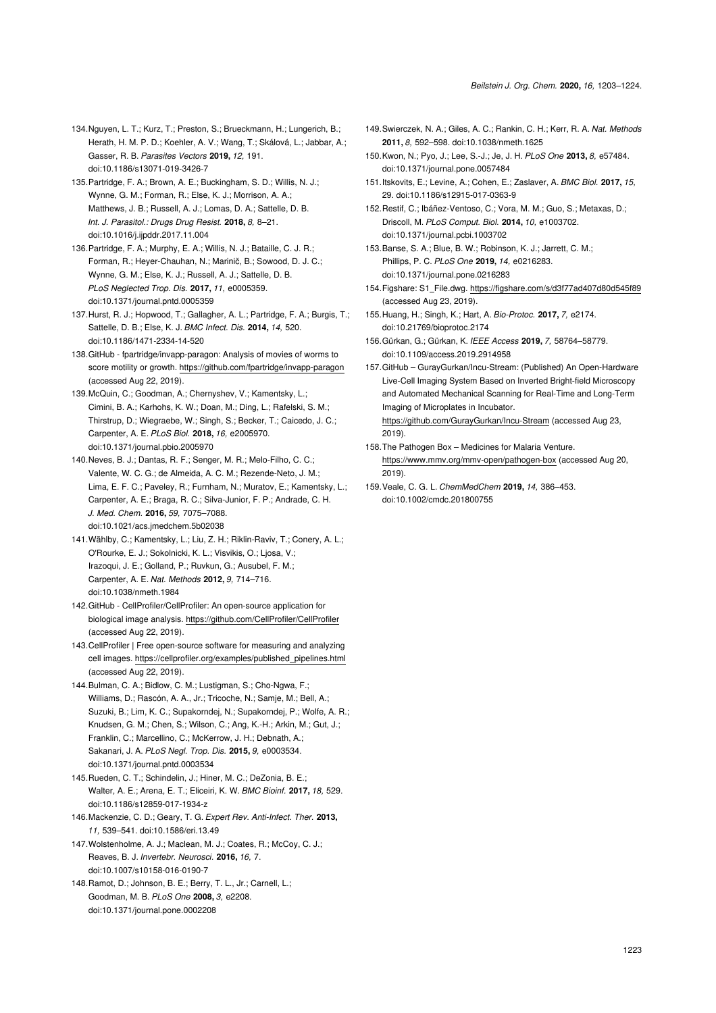134.Nguyen, L. T.; Kurz, T.; Preston, S.; Brueckmann, H.; Lungerich, B.; Herath, H. M. P. D.; Koehler, A. V.; Wang, T.; Skálová, L.; Jabbar, A.; Gasser, R. B. *Parasites Vectors* **2019,** *12,* 191. [doi:10.1186/s13071-019-3426-7](https://doi.org/10.1186%2Fs13071-019-3426-7)

<span id="page-20-0"></span>135.Partridge, F. A.; Brown, A. E.; Buckingham, S. D.; Willis, N. J.; Wynne, G. M.; Forman, R.; Else, K. J.; Morrison, A. A.; Matthews, J. B.; Russell, A. J.; Lomas, D. A.; Sattelle, D. B. *Int. J. Parasitol.: Drugs Drug Resist.* **2018,** *8,* 8–21. [doi:10.1016/j.ijpddr.2017.11.004](https://doi.org/10.1016%2Fj.ijpddr.2017.11.004)

136.Partridge, F. A.; Murphy, E. A.; Willis, N. J.; Bataille, C. J. R.; Forman, R.; Heyer-Chauhan, N.; Marinič, B.; Sowood, D. J. C.; Wynne, G. M.; Else, K. J.; Russell, A. J.; Sattelle, D. B. *PLoS Neglected Trop. Dis.* **2017,** *11,* e0005359. [doi:10.1371/journal.pntd.0005359](https://doi.org/10.1371%2Fjournal.pntd.0005359)

137.Hurst, R. J.; Hopwood, T.; Gallagher, A. L.; Partridge, F. A.; Burgis, T.; Sattelle, D. B.; Else, K. J. *BMC Infect. Dis.* **2014,** *14,* 520. [doi:10.1186/1471-2334-14-520](https://doi.org/10.1186%2F1471-2334-14-520)

<span id="page-20-1"></span>138.GitHub - fpartridge/invapp-paragon: Analysis of movies of worms to score motility or growth.<https://github.com/fpartridge/invapp-paragon> (accessed Aug 22, 2019).

<span id="page-20-2"></span>139.McQuin, C.; Goodman, A.; Chernyshev, V.; Kamentsky, L.; Cimini, B. A.; Karhohs, K. W.; Doan, M.; Ding, L.; Rafelski, S. M.; Thirstrup, D.; Wiegraebe, W.; Singh, S.; Becker, T.; Caicedo, J. C.; Carpenter, A. E. *PLoS Biol.* **2018,** *16,* e2005970. [doi:10.1371/journal.pbio.2005970](https://doi.org/10.1371%2Fjournal.pbio.2005970)

<span id="page-20-3"></span>140.Neves, B. J.; Dantas, R. F.; Senger, M. R.; Melo-Filho, C. C.; Valente, W. C. G.; de Almeida, A. C. M.; Rezende-Neto, J. M.; Lima, E. F. C.; Paveley, R.; Furnham, N.; Muratov, E.; Kamentsky, L.; Carpenter, A. E.; Braga, R. C.; Silva-Junior, F. P.; Andrade, C. H. *J. Med. Chem.* **2016,** *59,* 7075–7088. [doi:10.1021/acs.jmedchem.5b02038](https://doi.org/10.1021%2Facs.jmedchem.5b02038)

<span id="page-20-4"></span>141.Wählby, C.; Kamentsky, L.; Liu, Z. H.; Riklin-Raviv, T.; Conery, A. L.; O'Rourke, E. J.; Sokolnicki, K. L.; Visvikis, O.; Ljosa, V.; Irazoqui, J. E.; Golland, P.; Ruvkun, G.; Ausubel, F. M.; Carpenter, A. E. *Nat. Methods* **2012,** *9,* 714–716. [doi:10.1038/nmeth.1984](https://doi.org/10.1038%2Fnmeth.1984)

<span id="page-20-5"></span>142.GitHub - CellProfiler/CellProfiler: An open-source application for biological image analysis. <https://github.com/CellProfiler/CellProfiler> (accessed Aug 22, 2019).

<span id="page-20-6"></span>143.CellProfiler | Free open-source software for measuring and analyzing cell images. [https://cellprofiler.org/examples/published\\_pipelines.html](https://cellprofiler.org/examples/published_pipelines.html) (accessed Aug 22, 2019).

<span id="page-20-7"></span>144.Bulman, C. A.; Bidlow, C. M.; Lustigman, S.; Cho-Ngwa, F.; Williams, D.; Rascón, A. A., Jr.; Tricoche, N.; Samje, M.; Bell, A.; Suzuki, B.; Lim, K. C.; Supakorndej, N.; Supakorndej, P.; Wolfe, A. R.; Knudsen, G. M.; Chen, S.; Wilson, C.; Ang, K.-H.; Arkin, M.; Gut, J.; Franklin, C.; Marcellino, C.; McKerrow, J. H.; Debnath, A.; Sakanari, J. A. *PLoS Negl. Trop. Dis.* **2015,** *9,* e0003534. [doi:10.1371/journal.pntd.0003534](https://doi.org/10.1371%2Fjournal.pntd.0003534)

<span id="page-20-8"></span>145.Rueden, C. T.; Schindelin, J.; Hiner, M. C.; DeZonia, B. E.; Walter, A. E.; Arena, E. T.; Eliceiri, K. W. *BMC Bioinf.* **2017,** *18,* 529. [doi:10.1186/s12859-017-1934-z](https://doi.org/10.1186%2Fs12859-017-1934-z)

<span id="page-20-9"></span>146.Mackenzie, C. D.; Geary, T. G. *Expert Rev. Anti-Infect. Ther.* **2013,** *11,* 539–541. [doi:10.1586/eri.13.49](https://doi.org/10.1586%2Feri.13.49)

<span id="page-20-10"></span>147.Wolstenholme, A. J.; Maclean, M. J.; Coates, R.; McCoy, C. J.; Reaves, B. J. *Invertebr. Neurosci.* **2016,** *16,* 7. [doi:10.1007/s10158-016-0190-7](https://doi.org/10.1007%2Fs10158-016-0190-7)

<span id="page-20-11"></span>148.Ramot, D.; Johnson, B. E.; Berry, T. L., Jr.; Carnell, L.; Goodman, M. B. *PLoS One* **2008,** *3,* e2208. [doi:10.1371/journal.pone.0002208](https://doi.org/10.1371%2Fjournal.pone.0002208)

149.Swierczek, N. A.; Giles, A. C.; Rankin, C. H.; Kerr, R. A. *Nat. Methods* **2011,** *8,* 592–598. [doi:10.1038/nmeth.1625](https://doi.org/10.1038%2Fnmeth.1625)

- 150.Kwon, N.; Pyo, J.; Lee, S.-J.; Je, J. H. *PLoS One* **2013,** *8,* e57484. [doi:10.1371/journal.pone.0057484](https://doi.org/10.1371%2Fjournal.pone.0057484)
- 151.Itskovits, E.; Levine, A.; Cohen, E.; Zaslaver, A. *BMC Biol.* **2017,** *15,* 29. [doi:10.1186/s12915-017-0363-9](https://doi.org/10.1186%2Fs12915-017-0363-9)

<span id="page-20-12"></span>152.Restif, C.; Ibáñez-Ventoso, C.; Vora, M. M.; Guo, S.; Metaxas, D.; Driscoll, M. *PLoS Comput. Biol.* **2014,** *10,* e1003702. [doi:10.1371/journal.pcbi.1003702](https://doi.org/10.1371%2Fjournal.pcbi.1003702)

<span id="page-20-13"></span>153.Banse, S. A.; Blue, B. W.; Robinson, K. J.; Jarrett, C. M.; Phillips, P. C. *PLoS One* **2019,** *14,* e0216283. [doi:10.1371/journal.pone.0216283](https://doi.org/10.1371%2Fjournal.pone.0216283)

- <span id="page-20-14"></span>154.Figshare: S1\_File.dwg. <https://figshare.com/s/d3f77ad407d80d545f89> (accessed Aug 23, 2019).
- <span id="page-20-15"></span>155.Huang, H.; Singh, K.; Hart, A. *Bio-Protoc.* **2017,** *7,* e2174. [doi:10.21769/bioprotoc.2174](https://doi.org/10.21769%2Fbioprotoc.2174)
- <span id="page-20-16"></span>156.Gürkan, G.; Gürkan, K. *IEEE Access* **2019,** *7,* 58764–58779. [doi:10.1109/access.2019.2914958](https://doi.org/10.1109%2Faccess.2019.2914958)

<span id="page-20-17"></span>157.GitHub – GurayGurkan/Incu-Stream: (Published) An Open-Hardware Live-Cell Imaging System Based on Inverted Bright-field Microscopy and Automated Mechanical Scanning for Real-Time and Long-Term Imaging of Microplates in Incubator. <https://github.com/GurayGurkan/Incu-Stream>(accessed Aug 23,

<span id="page-20-18"></span>2019). 158.The Pathogen Box – Medicines for Malaria Venture.

<https://www.mmv.org/mmv-open/pathogen-box> (accessed Aug 20, 2019).

<span id="page-20-19"></span>159.Veale, C. G. L. *ChemMedChem* **2019,** *14,* 386–453. [doi:10.1002/cmdc.201800755](https://doi.org/10.1002%2Fcmdc.201800755)